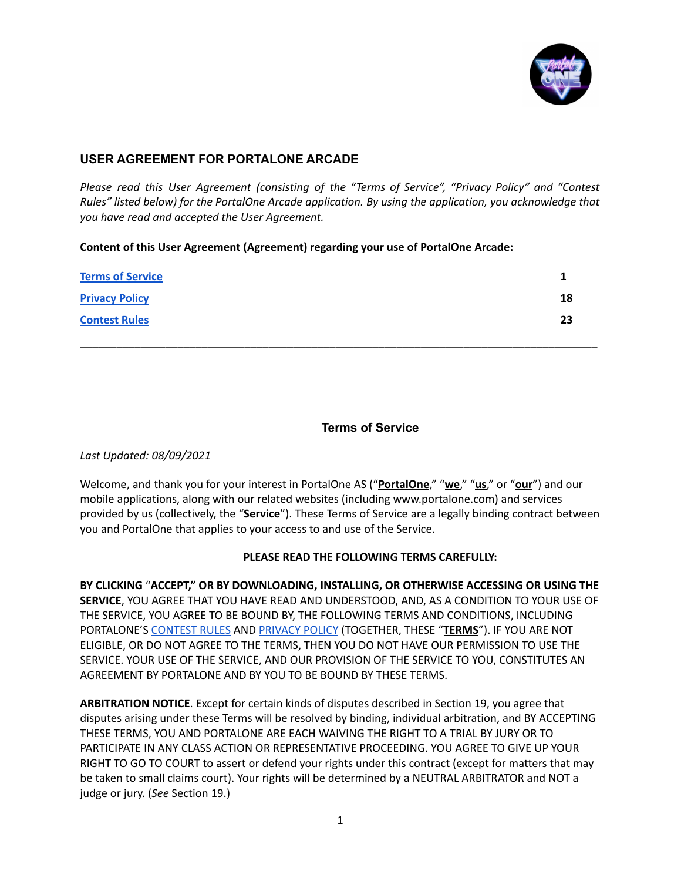

# **USER AGREEMENT FOR PORTALONE ARCADE**

*Please read this User Agreement (consisting of the "Terms of Service", "Privacy Policy" and "Contest Rules" listed below) for the PortalOne Arcade application. By using the application, you acknowledge that you have read and accepted the User Agreement.*

# **Content of this User Agreement (Agreement) regarding your use of PortalOne Arcade:**

| <b>Terms of Service</b> |    |
|-------------------------|----|
| <b>Privacy Policy</b>   | 18 |
| <b>Contest Rules</b>    | 23 |
|                         |    |

# **Terms of Service**

<span id="page-0-0"></span>*Last Updated: 08/09/2021*

Welcome, and thank you for your interest in PortalOne AS ("**PortalOne**," "**we**," "**us**," or "**our**") and our mobile applications, along with our related websites (including www.portalone.com) and services provided by us (collectively, the "**Service**"). These Terms of Service are a legally binding contract between you and PortalOne that applies to your access to and use of the Service.

# **PLEASE READ THE FOLLOWING TERMS CAREFULLY:**

**BY CLICKING** "**ACCEPT," OR BY DOWNLOADING, INSTALLING, OR OTHERWISE ACCESSING OR USING THE SERVICE**, YOU AGREE THAT YOU HAVE READ AND UNDERSTOOD, AND, AS A CONDITION TO YOUR USE OF THE SERVICE, YOU AGREE TO BE BOUND BY, THE FOLLOWING TERMS AND CONDITIONS, INCLUDING PORTALONE'S [CONTEST](#page-22-0) RULES AND [PRIVACY](#page-17-0) POLICY (TOGETHER, THESE "**TERMS**"). IF YOU ARE NOT ELIGIBLE, OR DO NOT AGREE TO THE TERMS, THEN YOU DO NOT HAVE OUR PERMISSION TO USE THE SERVICE. YOUR USE OF THE SERVICE, AND OUR PROVISION OF THE SERVICE TO YOU, CONSTITUTES AN AGREEMENT BY PORTALONE AND BY YOU TO BE BOUND BY THESE TERMS.

**ARBITRATION NOTICE**. Except for certain kinds of disputes described in Section 19, you agree that disputes arising under these Terms will be resolved by binding, individual arbitration, and BY ACCEPTING THESE TERMS, YOU AND PORTALONE ARE EACH WAIVING THE RIGHT TO A TRIAL BY JURY OR TO PARTICIPATE IN ANY CLASS ACTION OR REPRESENTATIVE PROCEEDING. YOU AGREE TO GIVE UP YOUR RIGHT TO GO TO COURT to assert or defend your rights under this contract (except for matters that may be taken to small claims court). Your rights will be determined by a NEUTRAL ARBITRATOR and NOT a judge or jury. (*See* Section 19.)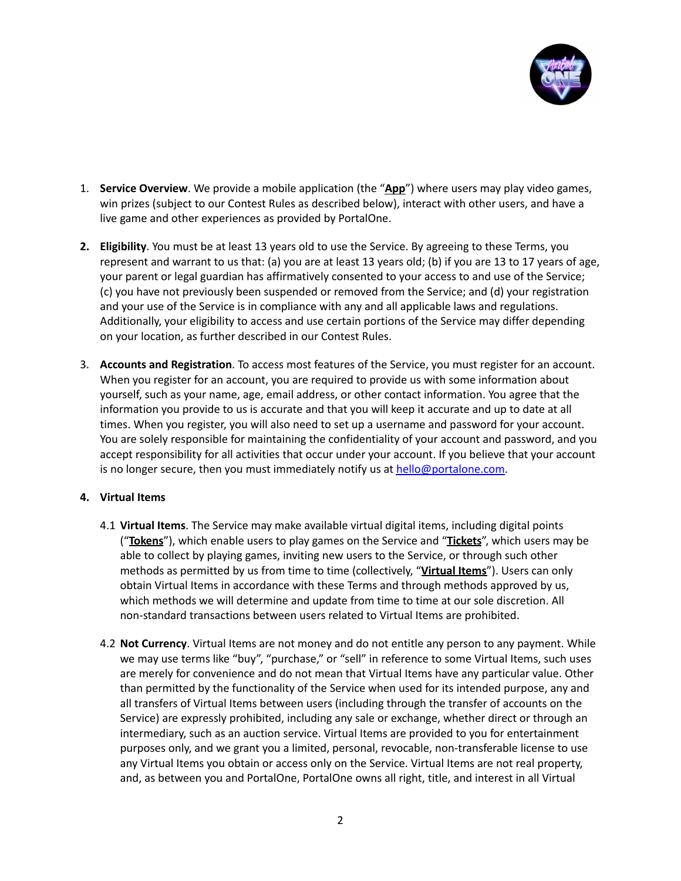

- 1. **Service Overview**. We provide a mobile application (the "**App**") where users may play video games, win prizes (subject to our Contest Rules as described below), interact with other users, and have a live game and other experiences as provided by PortalOne.
- **2. Eligibility**. You must be at least 13 years old to use the Service. By agreeing to these Terms, you represent and warrant to us that: (a) you are at least 13 years old; (b) if you are 13 to 17 years of age, your parent or legal guardian has affirmatively consented to your access to and use of the Service; (c) you have not previously been suspended or removed from the Service; and (d) your registration and your use of the Service is in compliance with any and all applicable laws and regulations. Additionally, your eligibility to access and use certain portions of the Service may differ depending on your location, as further described in our Contest Rules.
- 3. **Accounts and Registration**. To access most features of the Service, you must register for an account. When you register for an account, you are required to provide us with some information about yourself, such as your name, age, email address, or other contact information. You agree that the information you provide to us is accurate and that you will keep it accurate and up to date at all times. When you register, you will also need to set up a username and password for your account. You are solely responsible for maintaining the confidentiality of your account and password, and you accept responsibility for all activities that occur under your account. If you believe that your account is no longer secure, then you must immediately notify us at [hello@portalone.com](mailto:hello@portalone.com).

# **4. Virtual Items**

- 4.1 **Virtual Items**. The Service may make available virtual digital items, including digital points ("**Tokens**"), which enable users to play games on the Service and "**Tickets**", which users may be able to collect by playing games, inviting new users to the Service, or through such other methods as permitted by us from time to time (collectively, "**Virtual Items**"). Users can only obtain Virtual Items in accordance with these Terms and through methods approved by us, which methods we will determine and update from time to time at our sole discretion. All non-standard transactions between users related to Virtual Items are prohibited.
- 4.2 **Not Currency**. Virtual Items are not money and do not entitle any person to any payment. While we may use terms like "buy", "purchase," or "sell" in reference to some Virtual Items, such uses are merely for convenience and do not mean that Virtual Items have any particular value. Other than permitted by the functionality of the Service when used for its intended purpose, any and all transfers of Virtual Items between users (including through the transfer of accounts on the Service) are expressly prohibited, including any sale or exchange, whether direct or through an intermediary, such as an auction service. Virtual Items are provided to you for entertainment purposes only, and we grant you a limited, personal, revocable, non-transferable license to use any Virtual Items you obtain or access only on the Service. Virtual Items are not real property, and, as between you and PortalOne, PortalOne owns all right, title, and interest in all Virtual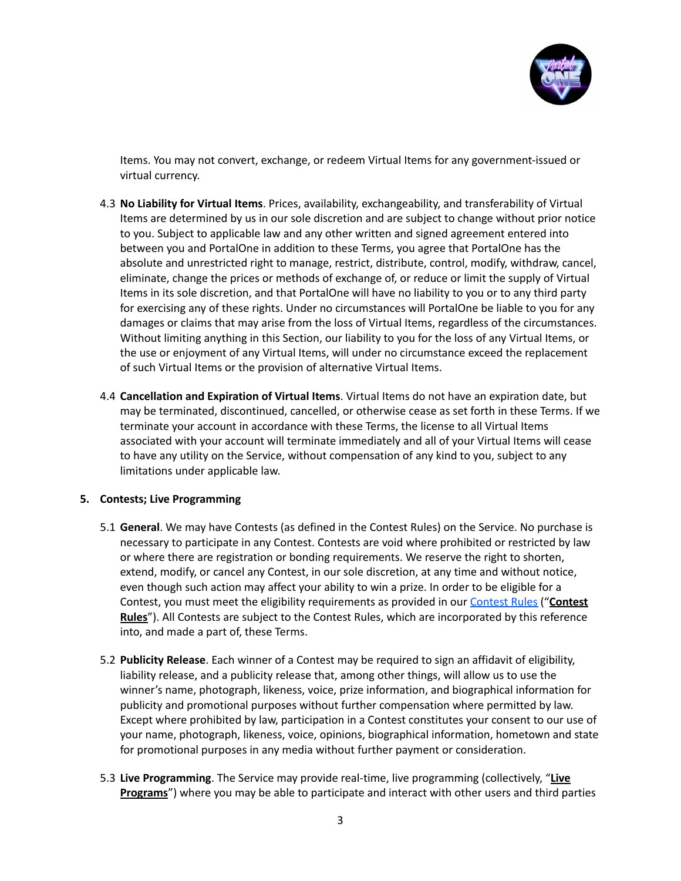

Items. You may not convert, exchange, or redeem Virtual Items for any government-issued or virtual currency.

- 4.3 **No Liability for Virtual Items**. Prices, availability, exchangeability, and transferability of Virtual Items are determined by us in our sole discretion and are subject to change without prior notice to you. Subject to applicable law and any other written and signed agreement entered into between you and PortalOne in addition to these Terms, you agree that PortalOne has the absolute and unrestricted right to manage, restrict, distribute, control, modify, withdraw, cancel, eliminate, change the prices or methods of exchange of, or reduce or limit the supply of Virtual Items in its sole discretion, and that PortalOne will have no liability to you or to any third party for exercising any of these rights. Under no circumstances will PortalOne be liable to you for any damages or claims that may arise from the loss of Virtual Items, regardless of the circumstances. Without limiting anything in this Section, our liability to you for the loss of any Virtual Items, or the use or enjoyment of any Virtual Items, will under no circumstance exceed the replacement of such Virtual Items or the provision of alternative Virtual Items.
- 4.4 **Cancellation and Expiration of Virtual Items**. Virtual Items do not have an expiration date, but may be terminated, discontinued, cancelled, or otherwise cease as set forth in these Terms. If we terminate your account in accordance with these Terms, the license to all Virtual Items associated with your account will terminate immediately and all of your Virtual Items will cease to have any utility on the Service, without compensation of any kind to you, subject to any limitations under applicable law.

# **5. Contests; Live Programming**

- 5.1 **General**. We may have Contests (as defined in the Contest Rules) on the Service. No purchase is necessary to participate in any Contest. Contests are void where prohibited or restricted by law or where there are registration or bonding requirements. We reserve the right to shorten, extend, modify, or cancel any Contest, in our sole discretion, at any time and without notice, even though such action may affect your ability to win a prize. In order to be eligible for a Contest, you must meet the eligibility requirements as provided in our [Contest](#page-22-0) Rules ("**Contest Rules**"). All Contests are subject to the Contest Rules, which are incorporated by this reference into, and made a part of, these Terms.
- 5.2 **Publicity Release**. Each winner of a Contest may be required to sign an affidavit of eligibility, liability release, and a publicity release that, among other things, will allow us to use the winner's name, photograph, likeness, voice, prize information, and biographical information for publicity and promotional purposes without further compensation where permitted by law. Except where prohibited by law, participation in a Contest constitutes your consent to our use of your name, photograph, likeness, voice, opinions, biographical information, hometown and state for promotional purposes in any media without further payment or consideration.
- 5.3 **Live Programming**. The Service may provide real-time, live programming (collectively, "**Live Programs**") where you may be able to participate and interact with other users and third parties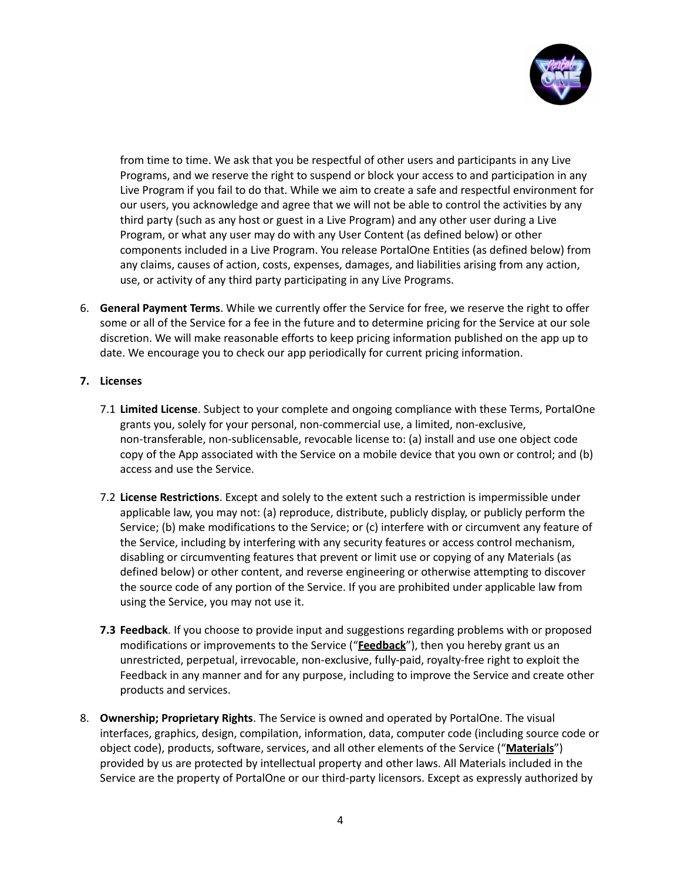

from time to time. We ask that you be respectful of other users and participants in any Live Programs, and we reserve the right to suspend or block your access to and participation in any Live Program if you fail to do that. While we aim to create a safe and respectful environment for our users, you acknowledge and agree that we will not be able to control the activities by any third party (such as any host or guest in a Live Program) and any other user during a Live Program, or what any user may do with any User Content (as defined below) or other components included in a Live Program. You release PortalOne Entities (as defined below) from any claims, causes of action, costs, expenses, damages, and liabilities arising from any action, use, or activity of any third party participating in any Live Programs.

6. **General Payment Terms**. While we currently offer the Service for free, we reserve the right to offer some or all of the Service for a fee in the future and to determine pricing for the Service at our sole discretion. We will make reasonable efforts to keep pricing information published on the app up to date. We encourage you to check our app periodically for current pricing information.

## **7. Licenses**

- 7.1 **Limited License**. Subject to your complete and ongoing compliance with these Terms, PortalOne grants you, solely for your personal, non-commercial use, a limited, non-exclusive, non-transferable, non-sublicensable, revocable license to: (a) install and use one object code copy of the App associated with the Service on a mobile device that you own or control; and (b) access and use the Service.
- 7.2 **License Restrictions**. Except and solely to the extent such a restriction is impermissible under applicable law, you may not: (a) reproduce, distribute, publicly display, or publicly perform the Service; (b) make modifications to the Service; or (c) interfere with or circumvent any feature of the Service, including by interfering with any security features or access control mechanism, disabling or circumventing features that prevent or limit use or copying of any Materials (as defined below) or other content, and reverse engineering or otherwise attempting to discover the source code of any portion of the Service. If you are prohibited under applicable law from using the Service, you may not use it.
- **7.3 Feedback**. If you choose to provide input and suggestions regarding problems with or proposed modifications or improvements to the Service ("**Feedback**"), then you hereby grant us an unrestricted, perpetual, irrevocable, non-exclusive, fully-paid, royalty-free right to exploit the Feedback in any manner and for any purpose, including to improve the Service and create other products and services.
- 8. **Ownership; Proprietary Rights**. The Service is owned and operated by PortalOne. The visual interfaces, graphics, design, compilation, information, data, computer code (including source code or object code), products, software, services, and all other elements of the Service ("**Materials**") provided by us are protected by intellectual property and other laws. All Materials included in the Service are the property of PortalOne or our third-party licensors. Except as expressly authorized by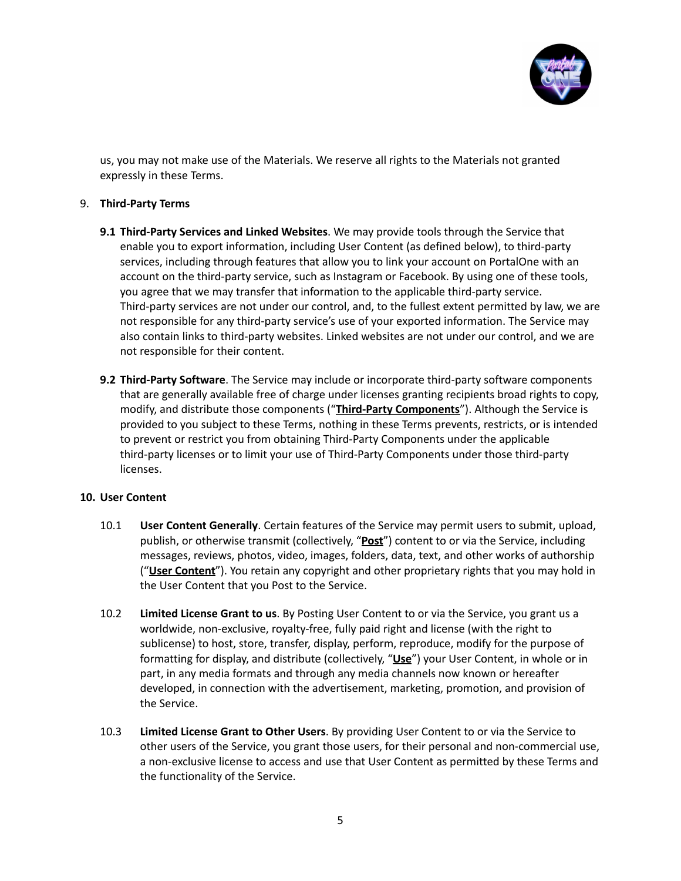

us, you may not make use of the Materials. We reserve all rights to the Materials not granted expressly in these Terms.

## 9. **Third-Party Terms**

- **9.1 Third-Party Services and Linked Websites**. We may provide tools through the Service that enable you to export information, including User Content (as defined below), to third-party services, including through features that allow you to link your account on PortalOne with an account on the third-party service, such as Instagram or Facebook. By using one of these tools, you agree that we may transfer that information to the applicable third-party service. Third-party services are not under our control, and, to the fullest extent permitted by law, we are not responsible for any third-party service's use of your exported information. The Service may also contain links to third-party websites. Linked websites are not under our control, and we are not responsible for their content.
- **9.2 Third-Party Software**. The Service may include or incorporate third-party software components that are generally available free of charge under licenses granting recipients broad rights to copy, modify, and distribute those components ("**Third-Party Components**"). Although the Service is provided to you subject to these Terms, nothing in these Terms prevents, restricts, or is intended to prevent or restrict you from obtaining Third-Party Components under the applicable third-party licenses or to limit your use of Third-Party Components under those third-party licenses.

#### **10. User Content**

- 10.1 **User Content Generally**. Certain features of the Service may permit users to submit, upload, publish, or otherwise transmit (collectively, "**Post**") content to or via the Service, including messages, reviews, photos, video, images, folders, data, text, and other works of authorship ("**User Content**"). You retain any copyright and other proprietary rights that you may hold in the User Content that you Post to the Service.
- 10.2 **Limited License Grant to us**. By Posting User Content to or via the Service, you grant us a worldwide, non-exclusive, royalty-free, fully paid right and license (with the right to sublicense) to host, store, transfer, display, perform, reproduce, modify for the purpose of formatting for display, and distribute (collectively, "**Use**") your User Content, in whole or in part, in any media formats and through any media channels now known or hereafter developed, in connection with the advertisement, marketing, promotion, and provision of the Service.
- 10.3 **Limited License Grant to Other Users**. By providing User Content to or via the Service to other users of the Service, you grant those users, for their personal and non-commercial use, a non-exclusive license to access and use that User Content as permitted by these Terms and the functionality of the Service.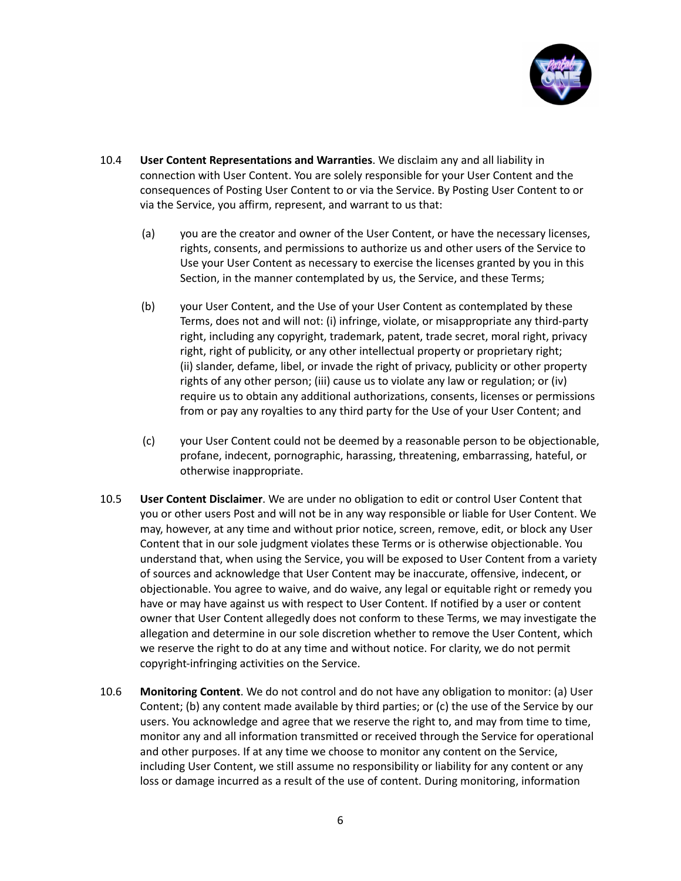

- 10.4 **User Content Representations and Warranties**. We disclaim any and all liability in connection with User Content. You are solely responsible for your User Content and the consequences of Posting User Content to or via the Service. By Posting User Content to or via the Service, you affirm, represent, and warrant to us that:
	- (a) you are the creator and owner of the User Content, or have the necessary licenses, rights, consents, and permissions to authorize us and other users of the Service to Use your User Content as necessary to exercise the licenses granted by you in this Section, in the manner contemplated by us, the Service, and these Terms;
	- (b) your User Content, and the Use of your User Content as contemplated by these Terms, does not and will not: (i) infringe, violate, or misappropriate any third-party right, including any copyright, trademark, patent, trade secret, moral right, privacy right, right of publicity, or any other intellectual property or proprietary right; (ii) slander, defame, libel, or invade the right of privacy, publicity or other property rights of any other person; (iii) cause us to violate any law or regulation; or (iv) require us to obtain any additional authorizations, consents, licenses or permissions from or pay any royalties to any third party for the Use of your User Content; and
	- (c) your User Content could not be deemed by a reasonable person to be objectionable, profane, indecent, pornographic, harassing, threatening, embarrassing, hateful, or otherwise inappropriate.
- 10.5 **User Content Disclaimer**. We are under no obligation to edit or control User Content that you or other users Post and will not be in any way responsible or liable for User Content. We may, however, at any time and without prior notice, screen, remove, edit, or block any User Content that in our sole judgment violates these Terms or is otherwise objectionable. You understand that, when using the Service, you will be exposed to User Content from a variety of sources and acknowledge that User Content may be inaccurate, offensive, indecent, or objectionable. You agree to waive, and do waive, any legal or equitable right or remedy you have or may have against us with respect to User Content. If notified by a user or content owner that User Content allegedly does not conform to these Terms, we may investigate the allegation and determine in our sole discretion whether to remove the User Content, which we reserve the right to do at any time and without notice. For clarity, we do not permit copyright-infringing activities on the Service.
- 10.6 **Monitoring Content**. We do not control and do not have any obligation to monitor: (a) User Content; (b) any content made available by third parties; or (c) the use of the Service by our users. You acknowledge and agree that we reserve the right to, and may from time to time, monitor any and all information transmitted or received through the Service for operational and other purposes. If at any time we choose to monitor any content on the Service, including User Content, we still assume no responsibility or liability for any content or any loss or damage incurred as a result of the use of content. During monitoring, information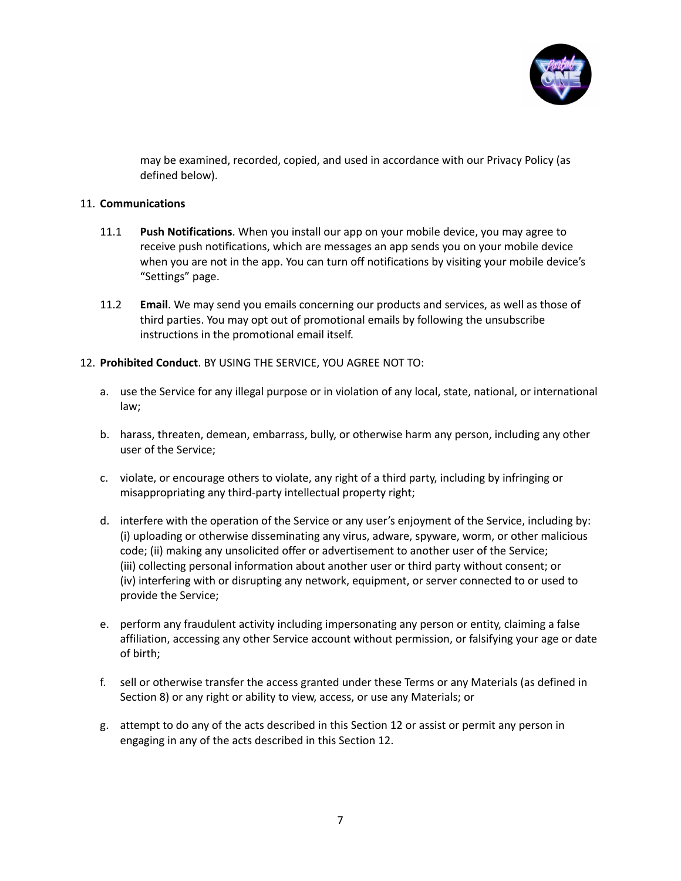

may be examined, recorded, copied, and used in accordance with our Privacy Policy (as defined below).

## 11. **Communications**

- 11.1 **Push Notifications**. When you install our app on your mobile device, you may agree to receive push notifications, which are messages an app sends you on your mobile device when you are not in the app. You can turn off notifications by visiting your mobile device's "Settings" page.
- 11.2 **Email**. We may send you emails concerning our products and services, as well as those of third parties. You may opt out of promotional emails by following the unsubscribe instructions in the promotional email itself.
- 12. **Prohibited Conduct**. BY USING THE SERVICE, YOU AGREE NOT TO:
	- a. use the Service for any illegal purpose or in violation of any local, state, national, or international law;
	- b. harass, threaten, demean, embarrass, bully, or otherwise harm any person, including any other user of the Service;
	- c. violate, or encourage others to violate, any right of a third party, including by infringing or misappropriating any third-party intellectual property right;
	- d. interfere with the operation of the Service or any user's enjoyment of the Service, including by: (i) uploading or otherwise disseminating any virus, adware, spyware, worm, or other malicious code; (ii) making any unsolicited offer or advertisement to another user of the Service; (iii) collecting personal information about another user or third party without consent; or (iv) interfering with or disrupting any network, equipment, or server connected to or used to provide the Service;
	- e. perform any fraudulent activity including impersonating any person or entity, claiming a false affiliation, accessing any other Service account without permission, or falsifying your age or date of birth;
	- f. sell or otherwise transfer the access granted under these Terms or any Materials (as defined in Section 8) or any right or ability to view, access, or use any Materials; or
	- g. attempt to do any of the acts described in this Section 12 or assist or permit any person in engaging in any of the acts described in this Section 12.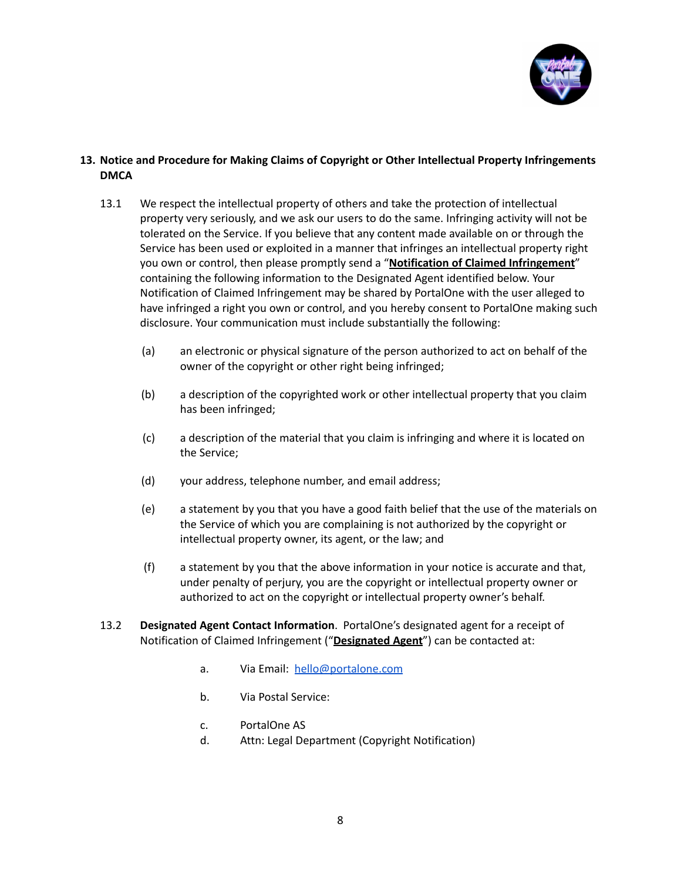

# **13. Notice and Procedure for Making Claims of Copyright or Other Intellectual Property Infringements DMCA**

- 13.1 We respect the intellectual property of others and take the protection of intellectual property very seriously, and we ask our users to do the same. Infringing activity will not be tolerated on the Service. If you believe that any content made available on or through the Service has been used or exploited in a manner that infringes an intellectual property right you own or control, then please promptly send a "**Notification of Claimed Infringement**" containing the following information to the Designated Agent identified below. Your Notification of Claimed Infringement may be shared by PortalOne with the user alleged to have infringed a right you own or control, and you hereby consent to PortalOne making such disclosure. Your communication must include substantially the following:
	- (a) an electronic or physical signature of the person authorized to act on behalf of the owner of the copyright or other right being infringed;
	- (b) a description of the copyrighted work or other intellectual property that you claim has been infringed;
	- (c) a description of the material that you claim is infringing and where it is located on the Service;
	- (d) your address, telephone number, and email address;
	- (e) a statement by you that you have a good faith belief that the use of the materials on the Service of which you are complaining is not authorized by the copyright or intellectual property owner, its agent, or the law; and
	- (f) a statement by you that the above information in your notice is accurate and that, under penalty of perjury, you are the copyright or intellectual property owner or authorized to act on the copyright or intellectual property owner's behalf.
- 13.2 **Designated Agent Contact Information**. PortalOne's designated agent for a receipt of Notification of Claimed Infringement ("**Designated Agent**") can be contacted at:
	- a. Via Email: [hello@portalone.com](mailto:hello@portalone.com)
	- b. Via Postal Service:
	- c. PortalOne AS
	- d. Attn: Legal Department (Copyright Notification)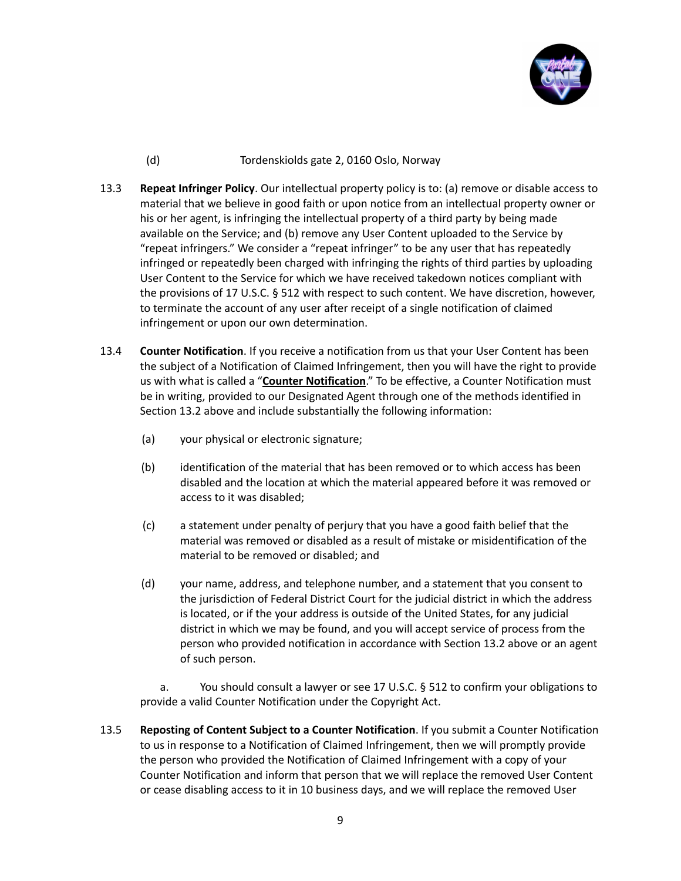

# (d) Tordenskiolds gate 2, 0160 Oslo, Norway

- 13.3 **Repeat Infringer Policy**. Our intellectual property policy is to: (a) remove or disable access to material that we believe in good faith or upon notice from an intellectual property owner or his or her agent, is infringing the intellectual property of a third party by being made available on the Service; and (b) remove any User Content uploaded to the Service by "repeat infringers." We consider a "repeat infringer" to be any user that has repeatedly infringed or repeatedly been charged with infringing the rights of third parties by uploading User Content to the Service for which we have received takedown notices compliant with the provisions of 17 U.S.C. § 512 with respect to such content. We have discretion, however, to terminate the account of any user after receipt of a single notification of claimed infringement or upon our own determination.
- 13.4 **Counter Notification**. If you receive a notification from us that your User Content has been the subject of a Notification of Claimed Infringement, then you will have the right to provide us with what is called a "**Counter Notification**." To be effective, a Counter Notification must be in writing, provided to our Designated Agent through one of the methods identified in Section 13.2 above and include substantially the following information:
	- (a) your physical or electronic signature;
	- (b) identification of the material that has been removed or to which access has been disabled and the location at which the material appeared before it was removed or access to it was disabled;
	- (c) a statement under penalty of perjury that you have a good faith belief that the material was removed or disabled as a result of mistake or misidentification of the material to be removed or disabled; and
	- (d) your name, address, and telephone number, and a statement that you consent to the jurisdiction of Federal District Court for the judicial district in which the address is located, or if the your address is outside of the United States, for any judicial district in which we may be found, and you will accept service of process from the person who provided notification in accordance with Section 13.2 above or an agent of such person.

a. You should consult a lawyer or see 17 U.S.C. § 512 to confirm your obligations to provide a valid Counter Notification under the Copyright Act.

13.5 **Reposting of Content Subject to a Counter Notification**. If you submit a Counter Notification to us in response to a Notification of Claimed Infringement, then we will promptly provide the person who provided the Notification of Claimed Infringement with a copy of your Counter Notification and inform that person that we will replace the removed User Content or cease disabling access to it in 10 business days, and we will replace the removed User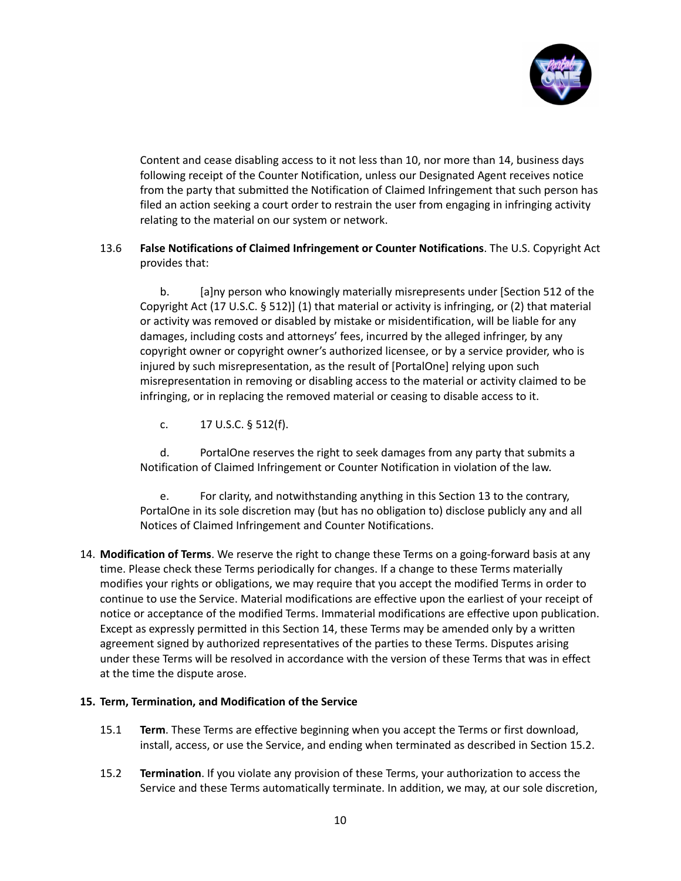

Content and cease disabling access to it not less than 10, nor more than 14, business days following receipt of the Counter Notification, unless our Designated Agent receives notice from the party that submitted the Notification of Claimed Infringement that such person has filed an action seeking a court order to restrain the user from engaging in infringing activity relating to the material on our system or network.

# 13.6 **False Notifications of Claimed Infringement or Counter Notifications**. The U.S. Copyright Act provides that:

b. [a]ny person who knowingly materially misrepresents under [Section 512 of the Copyright Act (17 U.S.C. § 512)] (1) that material or activity is infringing, or (2) that material or activity was removed or disabled by mistake or misidentification, will be liable for any damages, including costs and attorneys' fees, incurred by the alleged infringer, by any copyright owner or copyright owner's authorized licensee, or by a service provider, who is injured by such misrepresentation, as the result of [PortalOne] relying upon such misrepresentation in removing or disabling access to the material or activity claimed to be infringing, or in replacing the removed material or ceasing to disable access to it.

c. 17 U.S.C. § 512(f).

d. PortalOne reserves the right to seek damages from any party that submits a Notification of Claimed Infringement or Counter Notification in violation of the law.

e. For clarity, and notwithstanding anything in this Section 13 to the contrary, PortalOne in its sole discretion may (but has no obligation to) disclose publicly any and all Notices of Claimed Infringement and Counter Notifications.

14. **Modification of Terms**. We reserve the right to change these Terms on a going-forward basis at any time. Please check these Terms periodically for changes. If a change to these Terms materially modifies your rights or obligations, we may require that you accept the modified Terms in order to continue to use the Service. Material modifications are effective upon the earliest of your receipt of notice or acceptance of the modified Terms. Immaterial modifications are effective upon publication. Except as expressly permitted in this Section 14, these Terms may be amended only by a written agreement signed by authorized representatives of the parties to these Terms. Disputes arising under these Terms will be resolved in accordance with the version of these Terms that was in effect at the time the dispute arose.

# **15. Term, Termination, and Modification of the Service**

- 15.1 **Term**. These Terms are effective beginning when you accept the Terms or first download, install, access, or use the Service, and ending when terminated as described in Section 15.2.
- 15.2 **Termination**. If you violate any provision of these Terms, your authorization to access the Service and these Terms automatically terminate. In addition, we may, at our sole discretion,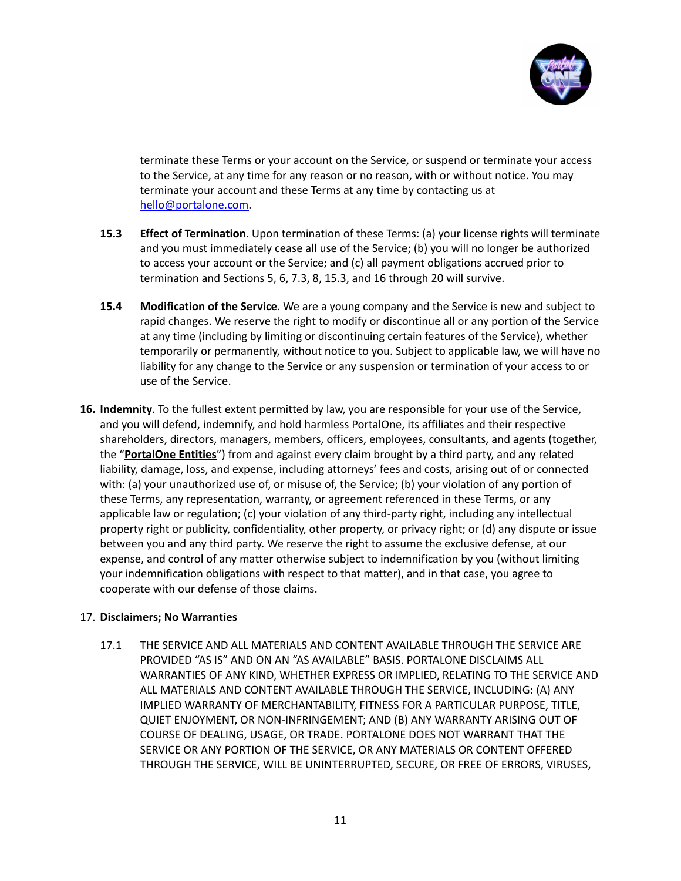

terminate these Terms or your account on the Service, or suspend or terminate your access to the Service, at any time for any reason or no reason, with or without notice. You may terminate your account and these Terms at any time by contacting us at [hello@portalone.com.](mailto:hello@portalone.com)

- **15.3 Effect of Termination**. Upon termination of these Terms: (a) your license rights will terminate and you must immediately cease all use of the Service; (b) you will no longer be authorized to access your account or the Service; and (c) all payment obligations accrued prior to termination and Sections 5, 6, 7.3, 8, 15.3, and 16 through 20 will survive.
- **15.4 Modification of the Service**. We are a young company and the Service is new and subject to rapid changes. We reserve the right to modify or discontinue all or any portion of the Service at any time (including by limiting or discontinuing certain features of the Service), whether temporarily or permanently, without notice to you. Subject to applicable law, we will have no liability for any change to the Service or any suspension or termination of your access to or use of the Service.
- **16. Indemnity**. To the fullest extent permitted by law, you are responsible for your use of the Service, and you will defend, indemnify, and hold harmless PortalOne, its affiliates and their respective shareholders, directors, managers, members, officers, employees, consultants, and agents (together, the "**PortalOne Entities**") from and against every claim brought by a third party, and any related liability, damage, loss, and expense, including attorneys' fees and costs, arising out of or connected with: (a) your unauthorized use of, or misuse of, the Service; (b) your violation of any portion of these Terms, any representation, warranty, or agreement referenced in these Terms, or any applicable law or regulation; (c) your violation of any third-party right, including any intellectual property right or publicity, confidentiality, other property, or privacy right; or (d) any dispute or issue between you and any third party. We reserve the right to assume the exclusive defense, at our expense, and control of any matter otherwise subject to indemnification by you (without limiting your indemnification obligations with respect to that matter), and in that case, you agree to cooperate with our defense of those claims.

# 17. **Disclaimers; No Warranties**

17.1 THE SERVICE AND ALL MATERIALS AND CONTENT AVAILABLE THROUGH THE SERVICE ARE PROVIDED "AS IS" AND ON AN "AS AVAILABLE" BASIS. PORTALONE DISCLAIMS ALL WARRANTIES OF ANY KIND, WHETHER EXPRESS OR IMPLIED, RELATING TO THE SERVICE AND ALL MATERIALS AND CONTENT AVAILABLE THROUGH THE SERVICE, INCLUDING: (A) ANY IMPLIED WARRANTY OF MERCHANTABILITY, FITNESS FOR A PARTICULAR PURPOSE, TITLE, QUIET ENJOYMENT, OR NON-INFRINGEMENT; AND (B) ANY WARRANTY ARISING OUT OF COURSE OF DEALING, USAGE, OR TRADE. PORTALONE DOES NOT WARRANT THAT THE SERVICE OR ANY PORTION OF THE SERVICE, OR ANY MATERIALS OR CONTENT OFFERED THROUGH THE SERVICE, WILL BE UNINTERRUPTED, SECURE, OR FREE OF ERRORS, VIRUSES,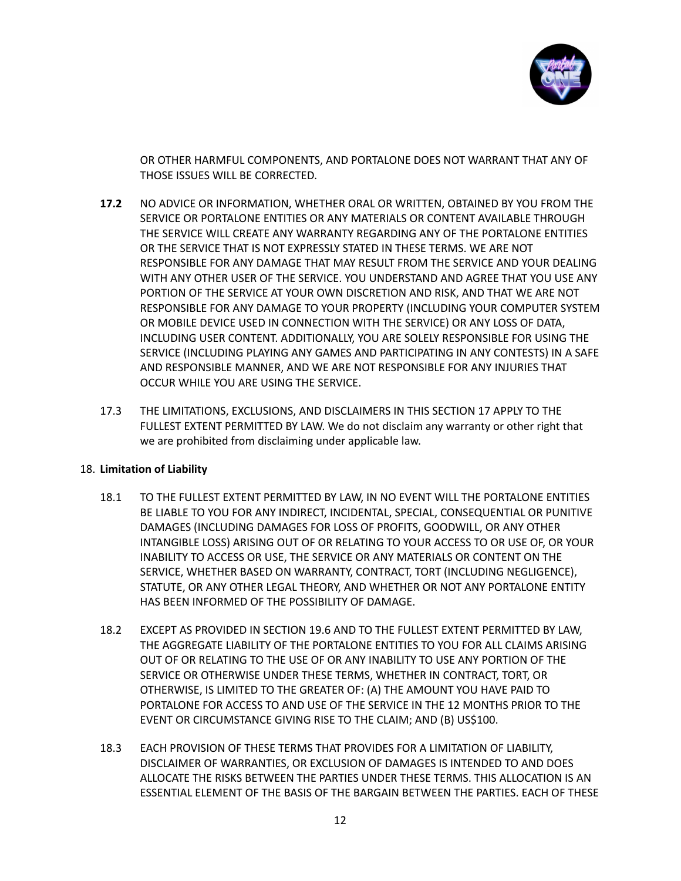

OR OTHER HARMFUL COMPONENTS, AND PORTALONE DOES NOT WARRANT THAT ANY OF THOSE ISSUES WILL BE CORRECTED.

- **17.2** NO ADVICE OR INFORMATION, WHETHER ORAL OR WRITTEN, OBTAINED BY YOU FROM THE SERVICE OR PORTALONE ENTITIES OR ANY MATERIALS OR CONTENT AVAILABLE THROUGH THE SERVICE WILL CREATE ANY WARRANTY REGARDING ANY OF THE PORTALONE ENTITIES OR THE SERVICE THAT IS NOT EXPRESSLY STATED IN THESE TERMS. WE ARE NOT RESPONSIBLE FOR ANY DAMAGE THAT MAY RESULT FROM THE SERVICE AND YOUR DEALING WITH ANY OTHER USER OF THE SERVICE. YOU UNDERSTAND AND AGREE THAT YOU USE ANY PORTION OF THE SERVICE AT YOUR OWN DISCRETION AND RISK, AND THAT WE ARE NOT RESPONSIBLE FOR ANY DAMAGE TO YOUR PROPERTY (INCLUDING YOUR COMPUTER SYSTEM OR MOBILE DEVICE USED IN CONNECTION WITH THE SERVICE) OR ANY LOSS OF DATA, INCLUDING USER CONTENT. ADDITIONALLY, YOU ARE SOLELY RESPONSIBLE FOR USING THE SERVICE (INCLUDING PLAYING ANY GAMES AND PARTICIPATING IN ANY CONTESTS) IN A SAFE AND RESPONSIBLE MANNER, AND WE ARE NOT RESPONSIBLE FOR ANY INJURIES THAT OCCUR WHILE YOU ARE USING THE SERVICE.
- 17.3 THE LIMITATIONS, EXCLUSIONS, AND DISCLAIMERS IN THIS SECTION 17 APPLY TO THE FULLEST EXTENT PERMITTED BY LAW. We do not disclaim any warranty or other right that we are prohibited from disclaiming under applicable law.

# 18. **Limitation of Liability**

- 18.1 TO THE FULLEST EXTENT PERMITTED BY LAW, IN NO EVENT WILL THE PORTALONE ENTITIES BE LIABLE TO YOU FOR ANY INDIRECT, INCIDENTAL, SPECIAL, CONSEQUENTIAL OR PUNITIVE DAMAGES (INCLUDING DAMAGES FOR LOSS OF PROFITS, GOODWILL, OR ANY OTHER INTANGIBLE LOSS) ARISING OUT OF OR RELATING TO YOUR ACCESS TO OR USE OF, OR YOUR INABILITY TO ACCESS OR USE, THE SERVICE OR ANY MATERIALS OR CONTENT ON THE SERVICE, WHETHER BASED ON WARRANTY, CONTRACT, TORT (INCLUDING NEGLIGENCE), STATUTE, OR ANY OTHER LEGAL THEORY, AND WHETHER OR NOT ANY PORTALONE ENTITY HAS BEEN INFORMED OF THE POSSIBILITY OF DAMAGE.
- 18.2 EXCEPT AS PROVIDED IN SECTION 19.6 AND TO THE FULLEST EXTENT PERMITTED BY LAW, THE AGGREGATE LIABILITY OF THE PORTALONE ENTITIES TO YOU FOR ALL CLAIMS ARISING OUT OF OR RELATING TO THE USE OF OR ANY INABILITY TO USE ANY PORTION OF THE SERVICE OR OTHERWISE UNDER THESE TERMS, WHETHER IN CONTRACT, TORT, OR OTHERWISE, IS LIMITED TO THE GREATER OF: (A) THE AMOUNT YOU HAVE PAID TO PORTALONE FOR ACCESS TO AND USE OF THE SERVICE IN THE 12 MONTHS PRIOR TO THE EVENT OR CIRCUMSTANCE GIVING RISE TO THE CLAIM; AND (B) US\$100.
- 18.3 EACH PROVISION OF THESE TERMS THAT PROVIDES FOR A LIMITATION OF LIABILITY, DISCLAIMER OF WARRANTIES, OR EXCLUSION OF DAMAGES IS INTENDED TO AND DOES ALLOCATE THE RISKS BETWEEN THE PARTIES UNDER THESE TERMS. THIS ALLOCATION IS AN ESSENTIAL ELEMENT OF THE BASIS OF THE BARGAIN BETWEEN THE PARTIES. EACH OF THESE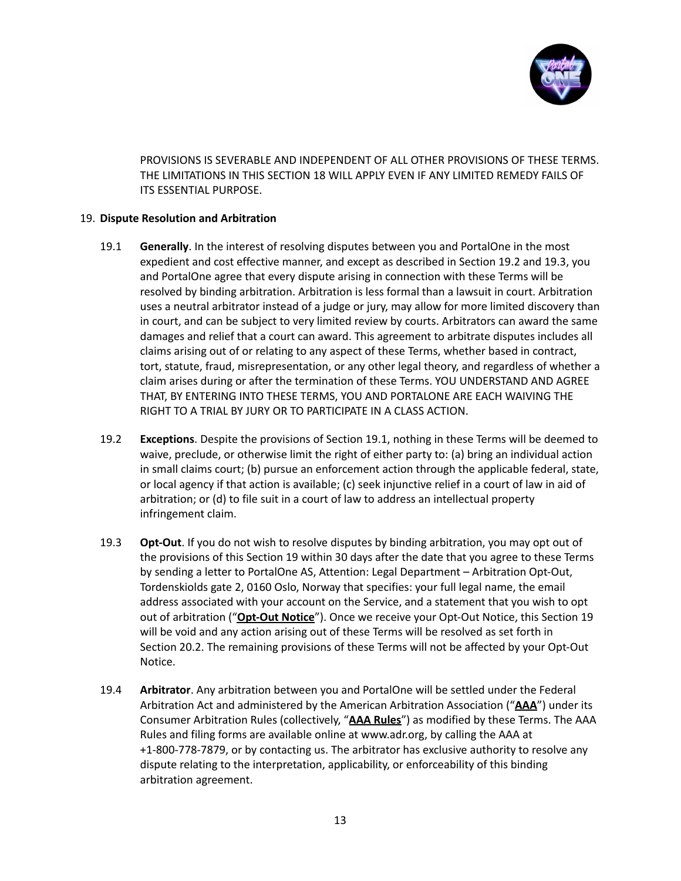

PROVISIONS IS SEVERABLE AND INDEPENDENT OF ALL OTHER PROVISIONS OF THESE TERMS. THE LIMITATIONS IN THIS SECTION 18 WILL APPLY EVEN IF ANY LIMITED REMEDY FAILS OF ITS ESSENTIAL PURPOSE.

## 19. **Dispute Resolution and Arbitration**

- 19.1 **Generally**. In the interest of resolving disputes between you and PortalOne in the most expedient and cost effective manner, and except as described in Section 19.2 and 19.3, you and PortalOne agree that every dispute arising in connection with these Terms will be resolved by binding arbitration. Arbitration is less formal than a lawsuit in court. Arbitration uses a neutral arbitrator instead of a judge or jury, may allow for more limited discovery than in court, and can be subject to very limited review by courts. Arbitrators can award the same damages and relief that a court can award. This agreement to arbitrate disputes includes all claims arising out of or relating to any aspect of these Terms, whether based in contract, tort, statute, fraud, misrepresentation, or any other legal theory, and regardless of whether a claim arises during or after the termination of these Terms. YOU UNDERSTAND AND AGREE THAT, BY ENTERING INTO THESE TERMS, YOU AND PORTALONE ARE EACH WAIVING THE RIGHT TO A TRIAL BY JURY OR TO PARTICIPATE IN A CLASS ACTION.
- 19.2 **Exceptions**. Despite the provisions of Section 19.1, nothing in these Terms will be deemed to waive, preclude, or otherwise limit the right of either party to: (a) bring an individual action in small claims court; (b) pursue an enforcement action through the applicable federal, state, or local agency if that action is available; (c) seek injunctive relief in a court of law in aid of arbitration; or (d) to file suit in a court of law to address an intellectual property infringement claim.
- 19.3 **Opt-Out**. If you do not wish to resolve disputes by binding arbitration, you may opt out of the provisions of this Section 19 within 30 days after the date that you agree to these Terms by sending a letter to PortalOne AS, Attention: Legal Department – Arbitration Opt-Out, Tordenskiolds gate 2, 0160 Oslo, Norway that specifies: your full legal name, the email address associated with your account on the Service, and a statement that you wish to opt out of arbitration ("**Opt-Out Notice**"). Once we receive your Opt-Out Notice, this Section 19 will be void and any action arising out of these Terms will be resolved as set forth in Section 20.2. The remaining provisions of these Terms will not be affected by your Opt-Out Notice.
- 19.4 **Arbitrator**. Any arbitration between you and PortalOne will be settled under the Federal Arbitration Act and administered by the American Arbitration Association ("**AAA**") under its Consumer Arbitration Rules (collectively, "**AAA Rules**") as modified by these Terms. The AAA Rules and filing forms are available online at www.adr.org, by calling the AAA at +1-800-778-7879, or by contacting us. The arbitrator has exclusive authority to resolve any dispute relating to the interpretation, applicability, or enforceability of this binding arbitration agreement.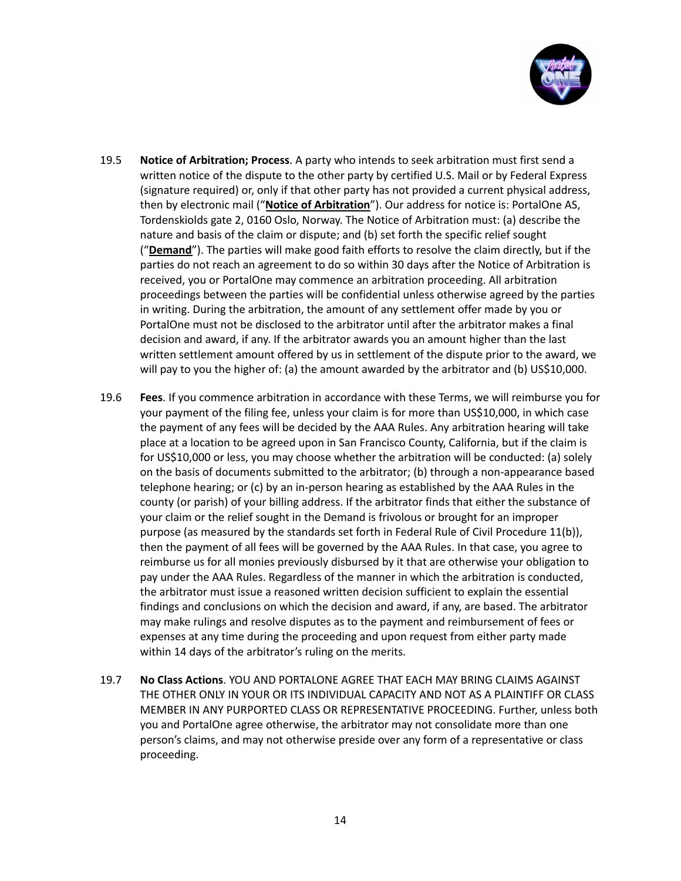

- 19.5 **Notice of Arbitration; Process**. A party who intends to seek arbitration must first send a written notice of the dispute to the other party by certified U.S. Mail or by Federal Express (signature required) or, only if that other party has not provided a current physical address, then by electronic mail ("**Notice of Arbitration**"). Our address for notice is: PortalOne AS, Tordenskiolds gate 2, 0160 Oslo, Norway. The Notice of Arbitration must: (a) describe the nature and basis of the claim or dispute; and (b) set forth the specific relief sought ("**Demand**"). The parties will make good faith efforts to resolve the claim directly, but if the parties do not reach an agreement to do so within 30 days after the Notice of Arbitration is received, you or PortalOne may commence an arbitration proceeding. All arbitration proceedings between the parties will be confidential unless otherwise agreed by the parties in writing. During the arbitration, the amount of any settlement offer made by you or PortalOne must not be disclosed to the arbitrator until after the arbitrator makes a final decision and award, if any. If the arbitrator awards you an amount higher than the last written settlement amount offered by us in settlement of the dispute prior to the award, we will pay to you the higher of: (a) the amount awarded by the arbitrator and (b) US\$10,000.
- 19.6 **Fees**. If you commence arbitration in accordance with these Terms, we will reimburse you for your payment of the filing fee, unless your claim is for more than US\$10,000, in which case the payment of any fees will be decided by the AAA Rules. Any arbitration hearing will take place at a location to be agreed upon in San Francisco County, California, but if the claim is for US\$10,000 or less, you may choose whether the arbitration will be conducted: (a) solely on the basis of documents submitted to the arbitrator; (b) through a non-appearance based telephone hearing; or (c) by an in-person hearing as established by the AAA Rules in the county (or parish) of your billing address. If the arbitrator finds that either the substance of your claim or the relief sought in the Demand is frivolous or brought for an improper purpose (as measured by the standards set forth in Federal Rule of Civil Procedure 11(b)), then the payment of all fees will be governed by the AAA Rules. In that case, you agree to reimburse us for all monies previously disbursed by it that are otherwise your obligation to pay under the AAA Rules. Regardless of the manner in which the arbitration is conducted, the arbitrator must issue a reasoned written decision sufficient to explain the essential findings and conclusions on which the decision and award, if any, are based. The arbitrator may make rulings and resolve disputes as to the payment and reimbursement of fees or expenses at any time during the proceeding and upon request from either party made within 14 days of the arbitrator's ruling on the merits.
- 19.7 **No Class Actions**. YOU AND PORTALONE AGREE THAT EACH MAY BRING CLAIMS AGAINST THE OTHER ONLY IN YOUR OR ITS INDIVIDUAL CAPACITY AND NOT AS A PLAINTIFF OR CLASS MEMBER IN ANY PURPORTED CLASS OR REPRESENTATIVE PROCEEDING. Further, unless both you and PortalOne agree otherwise, the arbitrator may not consolidate more than one person's claims, and may not otherwise preside over any form of a representative or class proceeding.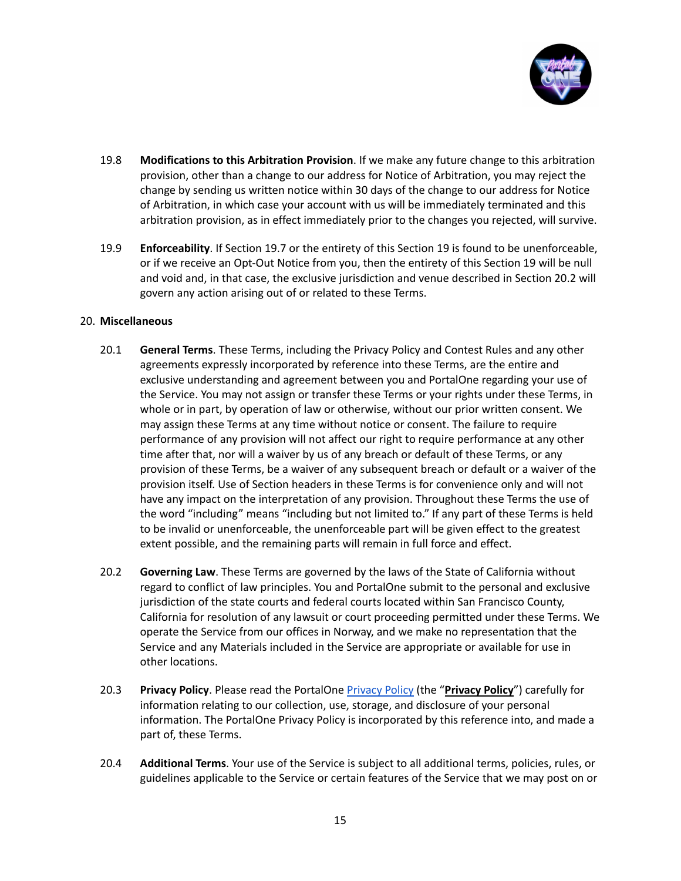

- 19.8 **Modifications to this Arbitration Provision**. If we make any future change to this arbitration provision, other than a change to our address for Notice of Arbitration, you may reject the change by sending us written notice within 30 days of the change to our address for Notice of Arbitration, in which case your account with us will be immediately terminated and this arbitration provision, as in effect immediately prior to the changes you rejected, will survive.
- 19.9 **Enforceability**. If Section 19.7 or the entirety of this Section 19 is found to be unenforceable, or if we receive an Opt-Out Notice from you, then the entirety of this Section 19 will be null and void and, in that case, the exclusive jurisdiction and venue described in Section 20.2 will govern any action arising out of or related to these Terms.

## 20. **Miscellaneous**

- 20.1 **General Terms**. These Terms, including the Privacy Policy and Contest Rules and any other agreements expressly incorporated by reference into these Terms, are the entire and exclusive understanding and agreement between you and PortalOne regarding your use of the Service. You may not assign or transfer these Terms or your rights under these Terms, in whole or in part, by operation of law or otherwise, without our prior written consent. We may assign these Terms at any time without notice or consent. The failure to require performance of any provision will not affect our right to require performance at any other time after that, nor will a waiver by us of any breach or default of these Terms, or any provision of these Terms, be a waiver of any subsequent breach or default or a waiver of the provision itself. Use of Section headers in these Terms is for convenience only and will not have any impact on the interpretation of any provision. Throughout these Terms the use of the word "including" means "including but not limited to." If any part of these Terms is held to be invalid or unenforceable, the unenforceable part will be given effect to the greatest extent possible, and the remaining parts will remain in full force and effect.
- 20.2 **Governing Law**. These Terms are governed by the laws of the State of California without regard to conflict of law principles. You and PortalOne submit to the personal and exclusive jurisdiction of the state courts and federal courts located within San Francisco County, California for resolution of any lawsuit or court proceeding permitted under these Terms. We operate the Service from our offices in Norway, and we make no representation that the Service and any Materials included in the Service are appropriate or available for use in other locations.
- 20.3 **Privacy Policy**. Please read the PortalOne [Privacy](#page-17-0) Policy (the "**Privacy Policy**") carefully for information relating to our collection, use, storage, and disclosure of your personal information. The PortalOne Privacy Policy is incorporated by this reference into, and made a part of, these Terms.
- 20.4 **Additional Terms**. Your use of the Service is subject to all additional terms, policies, rules, or guidelines applicable to the Service or certain features of the Service that we may post on or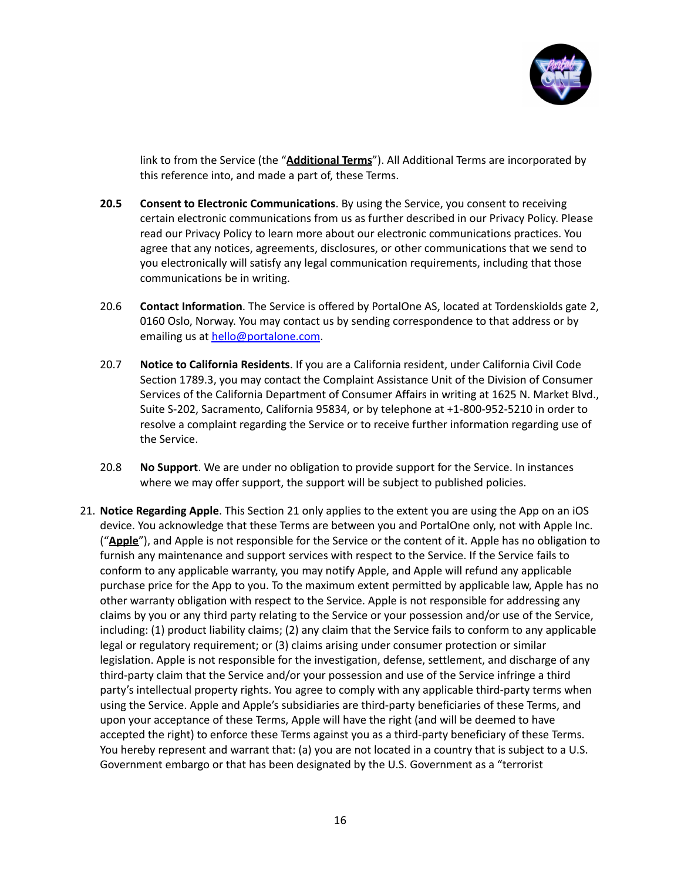

link to from the Service (the "**Additional Terms**"). All Additional Terms are incorporated by this reference into, and made a part of, these Terms.

- **20.5 Consent to Electronic Communications**. By using the Service, you consent to receiving certain electronic communications from us as further described in our Privacy Policy. Please read our Privacy Policy to learn more about our electronic communications practices. You agree that any notices, agreements, disclosures, or other communications that we send to you electronically will satisfy any legal communication requirements, including that those communications be in writing.
- 20.6 **Contact Information**. The Service is offered by PortalOne AS, located at Tordenskiolds gate 2, 0160 Oslo, Norway. You may contact us by sending correspondence to that address or by emailing us at [hello@portalone.com](mailto:hello@portalone.com).
- 20.7 **Notice to California Residents**. If you are a California resident, under California Civil Code Section 1789.3, you may contact the Complaint Assistance Unit of the Division of Consumer Services of the California Department of Consumer Affairs in writing at 1625 N. Market Blvd., Suite S-202, Sacramento, California 95834, or by telephone at +1-800-952-5210 in order to resolve a complaint regarding the Service or to receive further information regarding use of the Service.
- 20.8 **No Support**. We are under no obligation to provide support for the Service. In instances where we may offer support, the support will be subject to published policies.
- 21. **Notice Regarding Apple**. This Section 21 only applies to the extent you are using the App on an iOS device. You acknowledge that these Terms are between you and PortalOne only, not with Apple Inc. ("**Apple**"), and Apple is not responsible for the Service or the content of it. Apple has no obligation to furnish any maintenance and support services with respect to the Service. If the Service fails to conform to any applicable warranty, you may notify Apple, and Apple will refund any applicable purchase price for the App to you. To the maximum extent permitted by applicable law, Apple has no other warranty obligation with respect to the Service. Apple is not responsible for addressing any claims by you or any third party relating to the Service or your possession and/or use of the Service, including: (1) product liability claims; (2) any claim that the Service fails to conform to any applicable legal or regulatory requirement; or (3) claims arising under consumer protection or similar legislation. Apple is not responsible for the investigation, defense, settlement, and discharge of any third-party claim that the Service and/or your possession and use of the Service infringe a third party's intellectual property rights. You agree to comply with any applicable third-party terms when using the Service. Apple and Apple's subsidiaries are third-party beneficiaries of these Terms, and upon your acceptance of these Terms, Apple will have the right (and will be deemed to have accepted the right) to enforce these Terms against you as a third-party beneficiary of these Terms. You hereby represent and warrant that: (a) you are not located in a country that is subject to a U.S. Government embargo or that has been designated by the U.S. Government as a "terrorist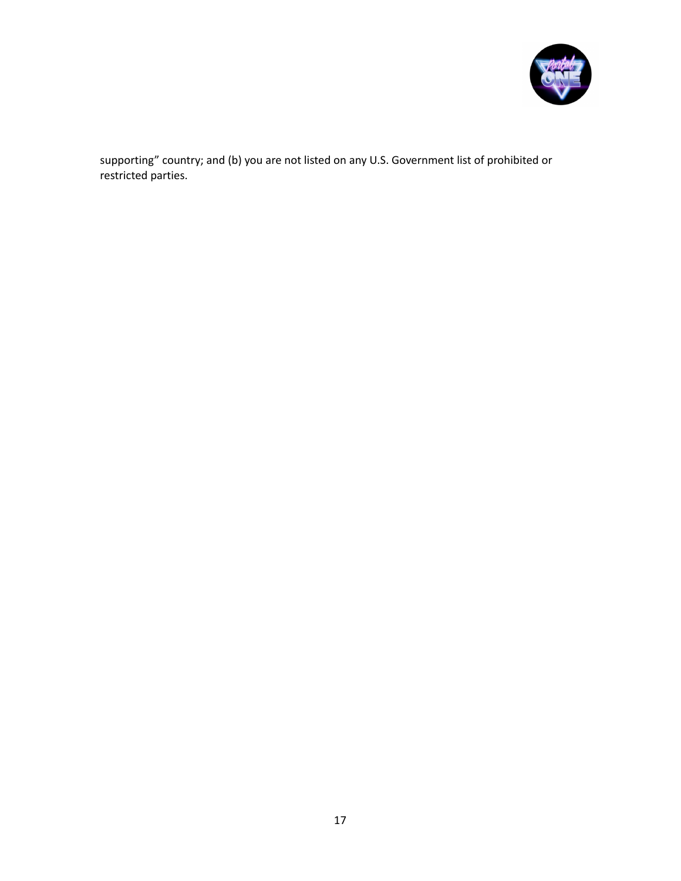

supporting" country; and (b) you are not listed on any U.S. Government list of prohibited or restricted parties.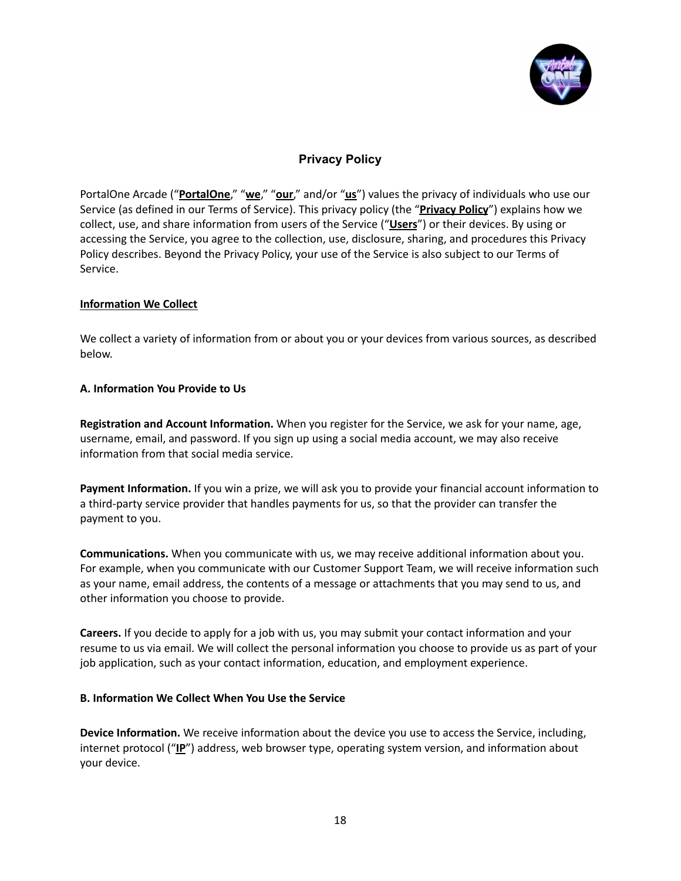

# **Privacy Policy**

<span id="page-17-0"></span>PortalOne Arcade ("**PortalOne**," "**we**," "**our**," and/or "**us**") values the privacy of individuals who use our Service (as defined in our Terms of Service). This privacy policy (the "**Privacy Policy**") explains how we collect, use, and share information from users of the Service ("**Users**") or their devices. By using or accessing the Service, you agree to the collection, use, disclosure, sharing, and procedures this Privacy Policy describes. Beyond the Privacy Policy, your use of the Service is also subject to our Terms of Service.

## **Information We Collect**

We collect a variety of information from or about you or your devices from various sources, as described below.

## **A. Information You Provide to Us**

**Registration and Account Information.** When you register for the Service, we ask for your name, age, username, email, and password. If you sign up using a social media account, we may also receive information from that social media service.

**Payment Information.** If you win a prize, we will ask you to provide your financial account information to a third-party service provider that handles payments for us, so that the provider can transfer the payment to you.

**Communications.** When you communicate with us, we may receive additional information about you. For example, when you communicate with our Customer Support Team, we will receive information such as your name, email address, the contents of a message or attachments that you may send to us, and other information you choose to provide.

**Careers.** If you decide to apply for a job with us, you may submit your contact information and your resume to us via email. We will collect the personal information you choose to provide us as part of your job application, such as your contact information, education, and employment experience.

#### **B. Information We Collect When You Use the Service**

**Device Information.** We receive information about the device you use to access the Service, including, internet protocol ("**IP**") address, web browser type, operating system version, and information about your device.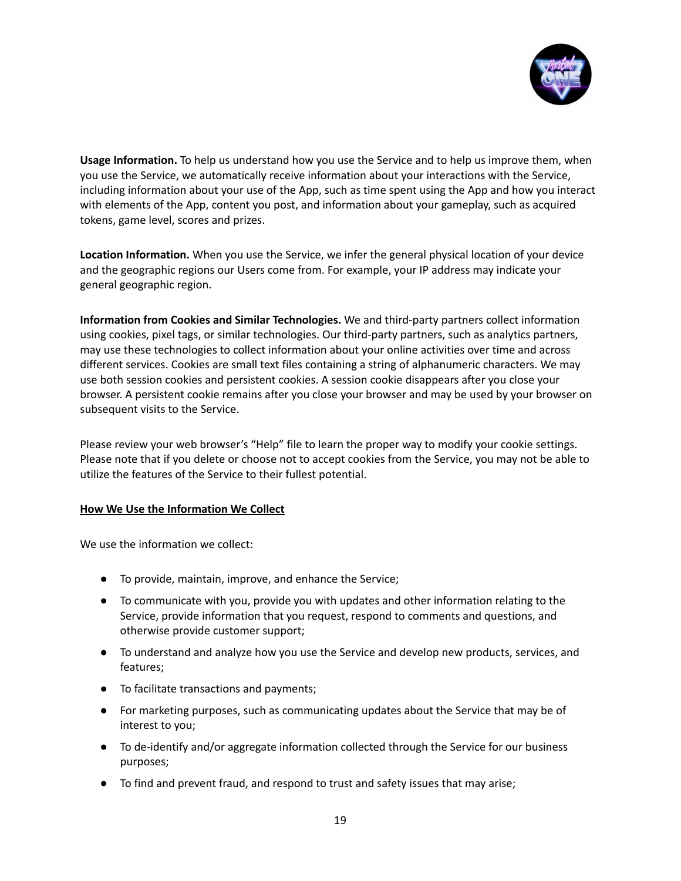

**Usage Information.** To help us understand how you use the Service and to help us improve them, when you use the Service, we automatically receive information about your interactions with the Service, including information about your use of the App, such as time spent using the App and how you interact with elements of the App, content you post, and information about your gameplay, such as acquired tokens, game level, scores and prizes.

**Location Information.** When you use the Service, we infer the general physical location of your device and the geographic regions our Users come from. For example, your IP address may indicate your general geographic region.

**Information from Cookies and Similar Technologies.** We and third-party partners collect information using cookies, pixel tags, or similar technologies. Our third-party partners, such as analytics partners, may use these technologies to collect information about your online activities over time and across different services. Cookies are small text files containing a string of alphanumeric characters. We may use both session cookies and persistent cookies. A session cookie disappears after you close your browser. A persistent cookie remains after you close your browser and may be used by your browser on subsequent visits to the Service.

Please review your web browser's "Help" file to learn the proper way to modify your cookie settings. Please note that if you delete or choose not to accept cookies from the Service, you may not be able to utilize the features of the Service to their fullest potential.

#### **How We Use the Information We Collect**

We use the information we collect:

- To provide, maintain, improve, and enhance the Service;
- To communicate with you, provide you with updates and other information relating to the Service, provide information that you request, respond to comments and questions, and otherwise provide customer support;
- To understand and analyze how you use the Service and develop new products, services, and features;
- To facilitate transactions and payments;
- For marketing purposes, such as communicating updates about the Service that may be of interest to you;
- To de-identify and/or aggregate information collected through the Service for our business purposes;
- To find and prevent fraud, and respond to trust and safety issues that may arise;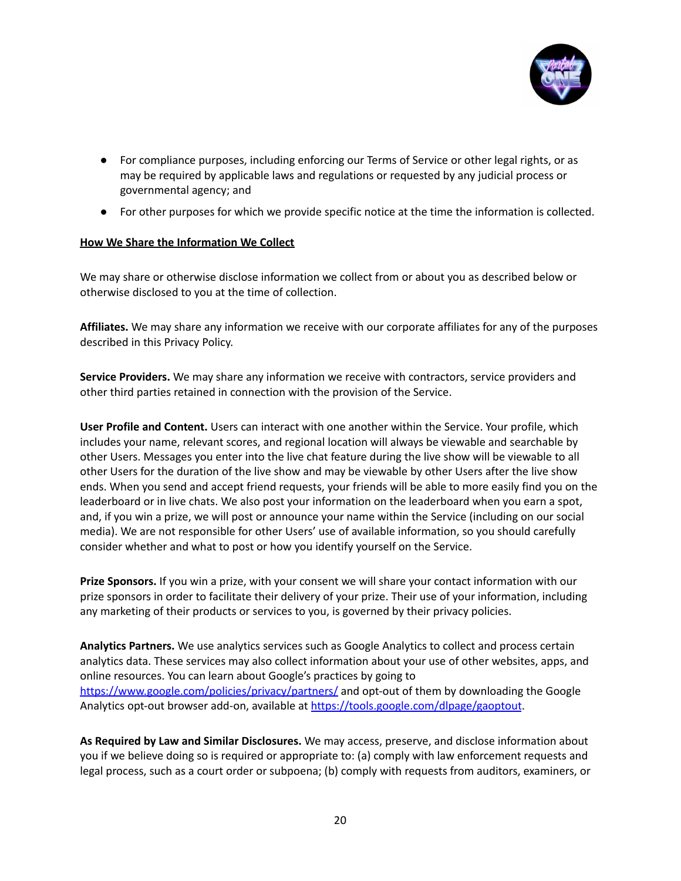

- For compliance purposes, including enforcing our Terms of Service or other legal rights, or as may be required by applicable laws and regulations or requested by any judicial process or governmental agency; and
- For other purposes for which we provide specific notice at the time the information is collected.

## **How We Share the Information We Collect**

We may share or otherwise disclose information we collect from or about you as described below or otherwise disclosed to you at the time of collection.

**Affiliates.** We may share any information we receive with our corporate affiliates for any of the purposes described in this Privacy Policy.

**Service Providers.** We may share any information we receive with contractors, service providers and other third parties retained in connection with the provision of the Service.

**User Profile and Content.** Users can interact with one another within the Service. Your profile, which includes your name, relevant scores, and regional location will always be viewable and searchable by other Users. Messages you enter into the live chat feature during the live show will be viewable to all other Users for the duration of the live show and may be viewable by other Users after the live show ends. When you send and accept friend requests, your friends will be able to more easily find you on the leaderboard or in live chats. We also post your information on the leaderboard when you earn a spot, and, if you win a prize, we will post or announce your name within the Service (including on our social media). We are not responsible for other Users' use of available information, so you should carefully consider whether and what to post or how you identify yourself on the Service.

**Prize Sponsors.** If you win a prize, with your consent we will share your contact information with our prize sponsors in order to facilitate their delivery of your prize. Their use of your information, including any marketing of their products or services to you, is governed by their privacy policies.

**Analytics Partners.** We use analytics services such as Google Analytics to collect and process certain analytics data. These services may also collect information about your use of other websites, apps, and online resources. You can learn about Google's practices by going to <https://www.google.com/policies/privacy/partners/> and opt-out of them by downloading the Google Analytics opt-out browser add-on, available at <https://tools.google.com/dlpage/gaoptout>.

**As Required by Law and Similar Disclosures.** We may access, preserve, and disclose information about you if we believe doing so is required or appropriate to: (a) comply with law enforcement requests and legal process, such as a court order or subpoena; (b) comply with requests from auditors, examiners, or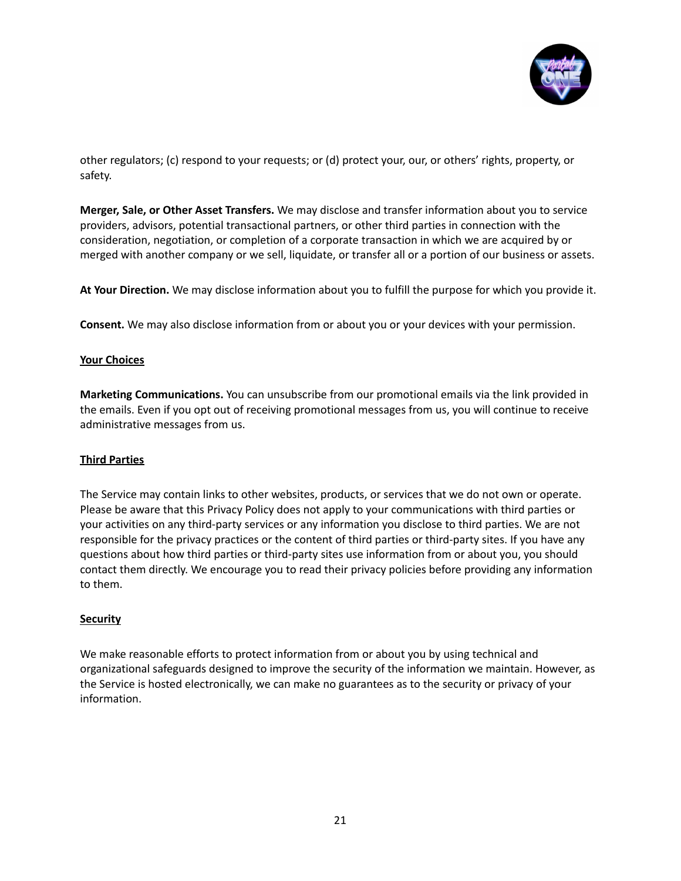

other regulators; (c) respond to your requests; or (d) protect your, our, or others' rights, property, or safety.

**Merger, Sale, or Other Asset Transfers.** We may disclose and transfer information about you to service providers, advisors, potential transactional partners, or other third parties in connection with the consideration, negotiation, or completion of a corporate transaction in which we are acquired by or merged with another company or we sell, liquidate, or transfer all or a portion of our business or assets.

**At Your Direction.** We may disclose information about you to fulfill the purpose for which you provide it.

**Consent.** We may also disclose information from or about you or your devices with your permission.

## **Your Choices**

**Marketing Communications.** You can unsubscribe from our promotional emails via the link provided in the emails. Even if you opt out of receiving promotional messages from us, you will continue to receive administrative messages from us.

#### **Third Parties**

The Service may contain links to other websites, products, or services that we do not own or operate. Please be aware that this Privacy Policy does not apply to your communications with third parties or your activities on any third-party services or any information you disclose to third parties. We are not responsible for the privacy practices or the content of third parties or third-party sites. If you have any questions about how third parties or third-party sites use information from or about you, you should contact them directly. We encourage you to read their privacy policies before providing any information to them.

#### **Security**

We make reasonable efforts to protect information from or about you by using technical and organizational safeguards designed to improve the security of the information we maintain. However, as the Service is hosted electronically, we can make no guarantees as to the security or privacy of your information.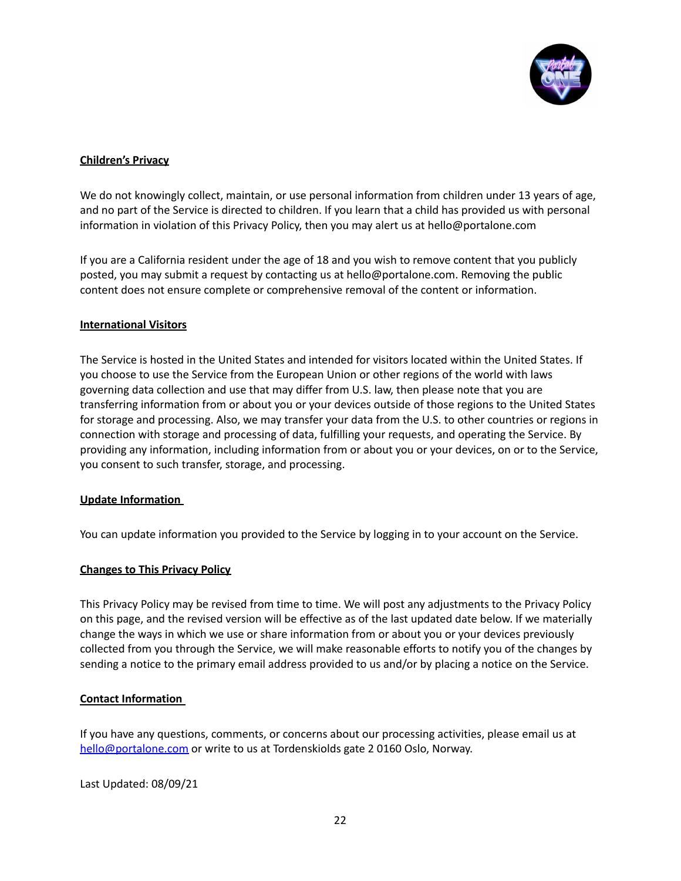

## **Children's Privacy**

We do not knowingly collect, maintain, or use personal information from children under 13 years of age, and no part of the Service is directed to children. If you learn that a child has provided us with personal information in violation of this Privacy Policy, then you may alert us at hello@portalone.com

If you are a California resident under the age of 18 and you wish to remove content that you publicly posted, you may submit a request by contacting us at hello@portalone.com. Removing the public content does not ensure complete or comprehensive removal of the content or information.

## **International Visitors**

The Service is hosted in the United States and intended for visitors located within the United States. If you choose to use the Service from the European Union or other regions of the world with laws governing data collection and use that may differ from U.S. law, then please note that you are transferring information from or about you or your devices outside of those regions to the United States for storage and processing. Also, we may transfer your data from the U.S. to other countries or regions in connection with storage and processing of data, fulfilling your requests, and operating the Service. By providing any information, including information from or about you or your devices, on or to the Service, you consent to such transfer, storage, and processing.

#### **Update Information**

You can update information you provided to the Service by logging in to your account on the Service.

#### **Changes to This Privacy Policy**

This Privacy Policy may be revised from time to time. We will post any adjustments to the Privacy Policy on this page, and the revised version will be effective as of the last updated date below. If we materially change the ways in which we use or share information from or about you or your devices previously collected from you through the Service, we will make reasonable efforts to notify you of the changes by sending a notice to the primary email address provided to us and/or by placing a notice on the Service.

#### **Contact Information**

If you have any questions, comments, or concerns about our processing activities, please email us at [hello@portalone.com](mailto:hello@portalone.com) or write to us at Tordenskiolds gate 2 0160 Oslo, Norway.

Last Updated: 08/09/21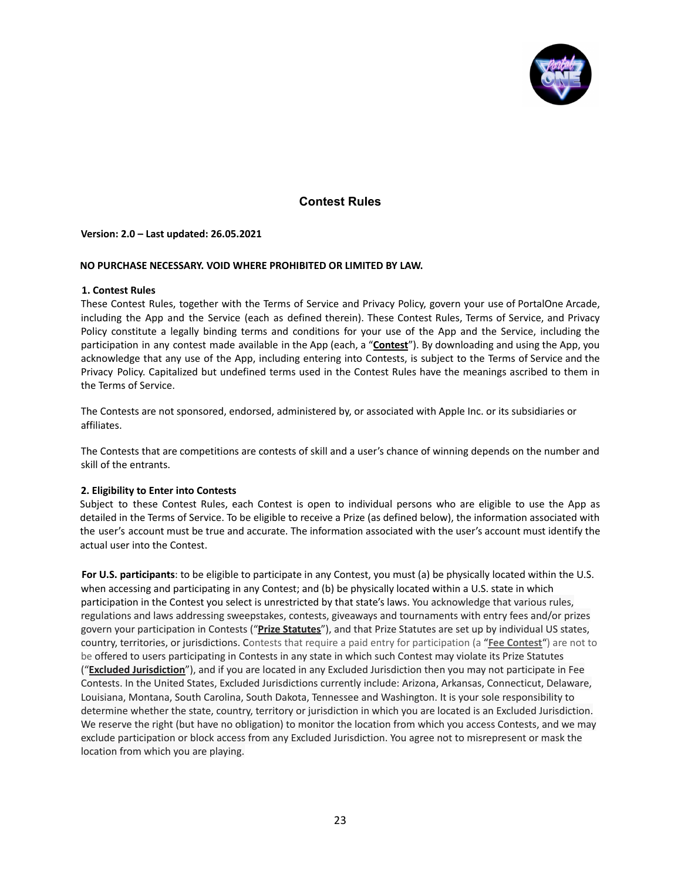

# **Contest Rules**

#### <span id="page-22-0"></span>**Version: 2.0 – Last updated: 26.05.2021**

#### **NO PURCHASE NECESSARY. VOID WHERE PROHIBITED OR LIMITED BY LAW.**

#### **1. Contest Rules**

These Contest Rules, together with the Terms of Service and Privacy Policy, govern your use of PortalOne Arcade, including the App and the Service (each as defined therein). These Contest Rules, Terms of Service, and Privacy Policy constitute a legally binding terms and conditions for your use of the App and the Service, including the participation in any contest made available in the App (each, a "**Contest**"). By downloading and using the App, you acknowledge that any use of the App, including entering into Contests, is subject to the Terms of Service and the Privacy Policy. Capitalized but undefined terms used in the Contest Rules have the meanings ascribed to them in the Terms of Service.

The Contests are not sponsored, endorsed, administered by, or associated with Apple Inc. or its subsidiaries or affiliates.

The Contests that are competitions are contests of skill and a user's chance of winning depends on the number and skill of the entrants.

#### **2. Eligibility to Enter into Contests**

Subject to these Contest Rules, each Contest is open to individual persons who are eligible to use the App as detailed in the Terms of Service. To be eligible to receive a Prize (as defined below), the information associated with the user's account must be true and accurate. The information associated with the user's account must identify the actual user into the Contest.

**For U.S. participants**: to be eligible to participate in any Contest, you must (a) be physically located within the U.S. when accessing and participating in any Contest; and (b) be physically located within a U.S. state in which participation in the Contest you select is unrestricted by that state's laws. You acknowledge that various rules, regulations and laws addressing sweepstakes, contests, giveaways and tournaments with entry fees and/or prizes govern your participation in Contests ("**Prize Statutes**"), and that Prize Statutes are set up by individual US states, country, territories, or jurisdictions. Contests that require a paid entry for participation (a "**Fee Contest**") are not to be offered to users participating in Contests in any state in which such Contest may violate its Prize Statutes ("**Excluded Jurisdiction**"), and if you are located in any Excluded Jurisdiction then you may not participate in Fee Contests. In the United States, Excluded Jurisdictions currently include: Arizona, Arkansas, Connecticut, Delaware, Louisiana, Montana, South Carolina, South Dakota, Tennessee and Washington. It is your sole responsibility to determine whether the state, country, territory or jurisdiction in which you are located is an Excluded Jurisdiction. We reserve the right (but have no obligation) to monitor the location from which you access Contests, and we may exclude participation or block access from any Excluded Jurisdiction. You agree not to misrepresent or mask the location from which you are playing.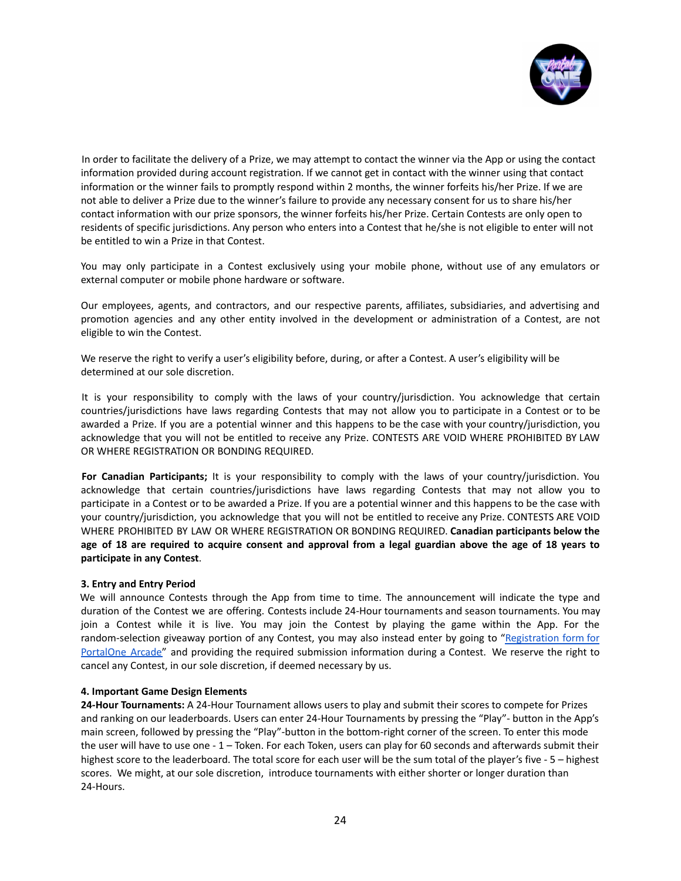

In order to facilitate the delivery of a Prize, we may attempt to contact the winner via the App or using the contact information provided during account registration. If we cannot get in contact with the winner using that contact information or the winner fails to promptly respond within 2 months, the winner forfeits his/her Prize. If we are not able to deliver a Prize due to the winner's failure to provide any necessary consent for us to share his/her contact information with our prize sponsors, the winner forfeits his/her Prize. Certain Contests are only open to residents of specific jurisdictions. Any person who enters into a Contest that he/she is not eligible to enter will not be entitled to win a Prize in that Contest.

You may only participate in a Contest exclusively using your mobile phone, without use of any emulators or external computer or mobile phone hardware or software.

Our employees, agents, and contractors, and our respective parents, affiliates, subsidiaries, and advertising and promotion agencies and any other entity involved in the development or administration of a Contest, are not eligible to win the Contest.

We reserve the right to verify a user's eligibility before, during, or after a Contest. A user's eligibility will be determined at our sole discretion.

It is your responsibility to comply with the laws of your country/jurisdiction. You acknowledge that certain countries/jurisdictions have laws regarding Contests that may not allow you to participate in a Contest or to be awarded a Prize. If you are a potential winner and this happens to be the case with your country/jurisdiction, you acknowledge that you will not be entitled to receive any Prize. CONTESTS ARE VOID WHERE PROHIBITED BY LAW OR WHERE REGISTRATION OR BONDING REQUIRED.

**For Canadian Participants;** It is your responsibility to comply with the laws of your country/jurisdiction. You acknowledge that certain countries/jurisdictions have laws regarding Contests that may not allow you to participate in a Contest or to be awarded a Prize. If you are a potential winner and this happens to be the case with your country/jurisdiction, you acknowledge that you will not be entitled to receive any Prize. CONTESTS ARE VOID WHERE PROHIBITED BY LAW OR WHERE REGISTRATION OR BONDING REQUIRED. **Canadian participants below the** age of 18 are required to acquire consent and approval from a legal guardian above the age of 18 years to **participate in any Contest**.

#### **3. Entry and Entry Period**

We will announce Contests through the App from time to time. The announcement will indicate the type and duration of the Contest we are offering. Contests include 24-Hour tournaments and season tournaments. You may join a Contest while it is live. You may join the Contest by playing the game within the App. For the random-selection giveaway portion of any Contest, you may also instead enter by going to ["Registration](https://docs.google.com/forms/d/e/1FAIpQLSeHQInPWXLLgK2hH1jcQtDjnyVXdhsknC0v_udxF7n9RRnLjg/viewform) form for [PortalOne](https://docs.google.com/forms/d/e/1FAIpQLSeHQInPWXLLgK2hH1jcQtDjnyVXdhsknC0v_udxF7n9RRnLjg/viewform) Arcade" and providing the required submission information during a Contest. We reserve the right to cancel any Contest, in our sole discretion, if deemed necessary by us.

#### **4. Important Game Design Elements**

**24-Hour Tournaments:** A 24-Hour Tournament allows users to play and submit their scores to compete for Prizes and ranking on our leaderboards. Users can enter 24-Hour Tournaments by pressing the "Play"- button in the App's main screen, followed by pressing the "Play"-button in the bottom-right corner of the screen. To enter this mode the user will have to use one - 1 – Token. For each Token, users can play for 60 seconds and afterwards submit their highest score to the leaderboard. The total score for each user will be the sum total of the player's five - 5 – highest scores. We might, at our sole discretion, introduce tournaments with either shorter or longer duration than 24-Hours.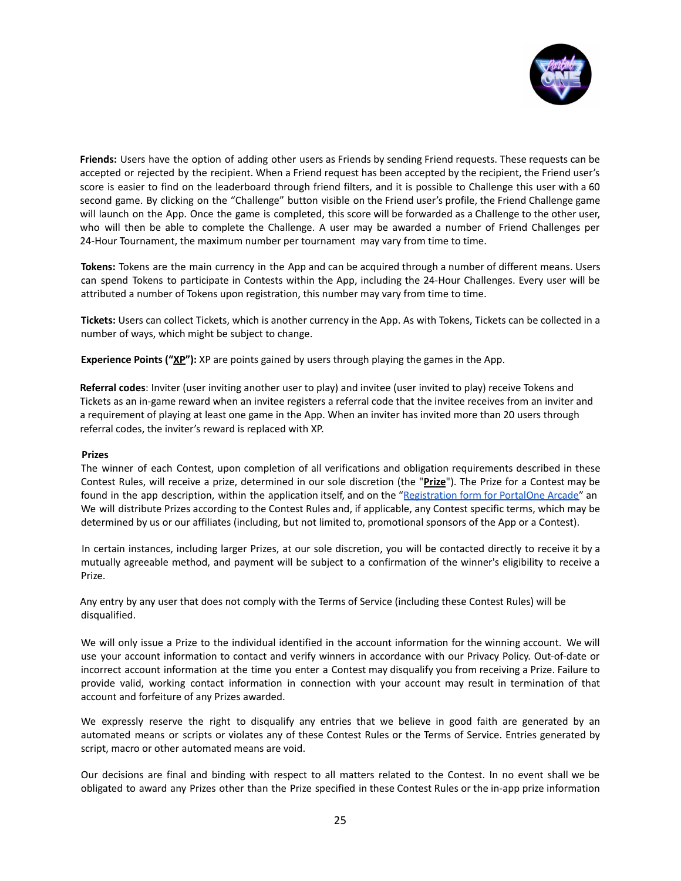

**Friends:** Users have the option of adding other users as Friends by sending Friend requests. These requests can be accepted or rejected by the recipient. When a Friend request has been accepted by the recipient, the Friend user's score is easier to find on the leaderboard through friend filters, and it is possible to Challenge this user with a 60 second game. By clicking on the "Challenge" button visible on the Friend user's profile, the Friend Challenge game will launch on the App. Once the game is completed, this score will be forwarded as a Challenge to the other user, who will then be able to complete the Challenge. A user may be awarded a number of Friend Challenges per 24-Hour Tournament, the maximum number per tournament may vary from time to time.

**Tokens:** Tokens are the main currency in the App and can be acquired through a number of different means. Users can spend Tokens to participate in Contests within the App, including the 24-Hour Challenges. Every user will be attributed a number of Tokens upon registration, this number may vary from time to time.

**Tickets:** Users can collect Tickets, which is another currency in the App. As with Tokens, Tickets can be collected in a number of ways, which might be subject to change.

**Experience Points ("XP"):** XP are points gained by users through playing the games in the App.

**Referral codes**: Inviter (user inviting another user to play) and invitee (user invited to play) receive Tokens and Tickets as an in-game reward when an invitee registers a referral code that the invitee receives from an inviter and a requirement of playing at least one game in the App. When an inviter has invited more than 20 users through referral codes, the inviter's reward is replaced with XP.

#### **Prizes**

The winner of each Contest, upon completion of all verifications and obligation requirements described in these Contest Rules, will receive a prize, determined in our sole discretion (the "**Prize**"). The Prize for a Contest may be found in the app description, within the application itself, and on the "[Registration](https://docs.google.com/forms/d/e/1FAIpQLSeHQInPWXLLgK2hH1jcQtDjnyVXdhsknC0v_udxF7n9RRnLjg/viewform) form for PortalOne Arcade" an We will distribute Prizes according to the Contest Rules and, if applicable, any Contest specific terms, which may be determined by us or our affiliates (including, but not limited to, promotional sponsors of the App or a Contest).

In certain instances, including larger Prizes, at our sole discretion, you will be contacted directly to receive it by a mutually agreeable method, and payment will be subject to a confirmation of the winner's eligibility to receive a Prize.

Any entry by any user that does not comply with the Terms of Service (including these Contest Rules) will be disqualified.

We will only issue a Prize to the individual identified in the account information for the winning account. We will use your account information to contact and verify winners in accordance with our Privacy Policy. Out-of-date or incorrect account information at the time you enter a Contest may disqualify you from receiving a Prize. Failure to provide valid, working contact information in connection with your account may result in termination of that account and forfeiture of any Prizes awarded.

We expressly reserve the right to disqualify any entries that we believe in good faith are generated by an automated means or scripts or violates any of these Contest Rules or the Terms of Service. Entries generated by script, macro or other automated means are void.

Our decisions are final and binding with respect to all matters related to the Contest. In no event shall we be obligated to award any Prizes other than the Prize specified in these Contest Rules or the in-app prize information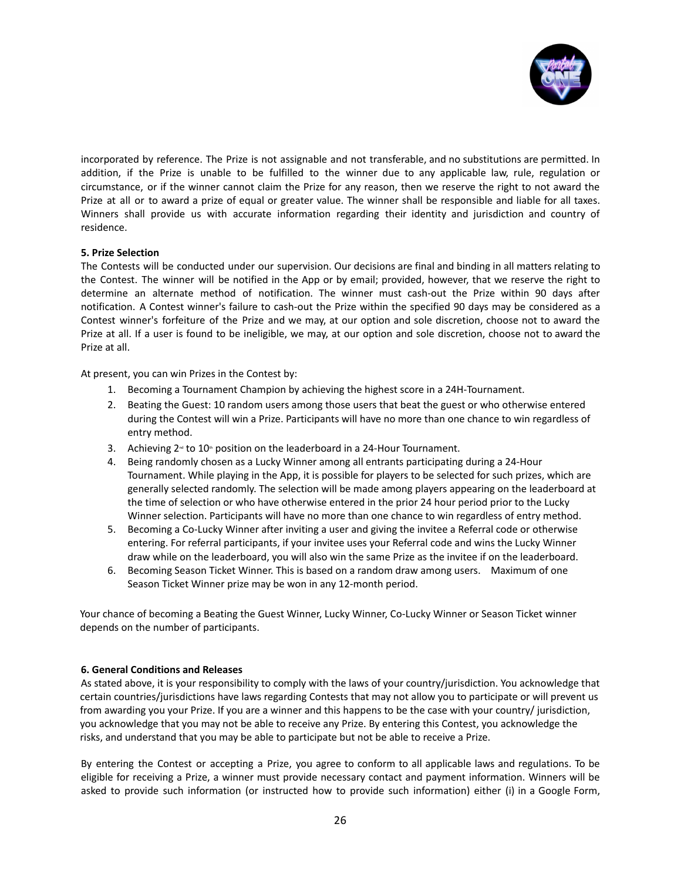

incorporated by reference. The Prize is not assignable and not transferable, and no substitutions are permitted. In addition, if the Prize is unable to be fulfilled to the winner due to any applicable law, rule, regulation or circumstance, or if the winner cannot claim the Prize for any reason, then we reserve the right to not award the Prize at all or to award a prize of equal or greater value. The winner shall be responsible and liable for all taxes. Winners shall provide us with accurate information regarding their identity and jurisdiction and country of residence.

#### **5. Prize Selection**

The Contests will be conducted under our supervision. Our decisions are final and binding in all matters relating to the Contest. The winner will be notified in the App or by email; provided, however, that we reserve the right to determine an alternate method of notification. The winner must cash-out the Prize within 90 days after notification. A Contest winner's failure to cash-out the Prize within the specified 90 days may be considered as a Contest winner's forfeiture of the Prize and we may, at our option and sole discretion, choose not to award the Prize at all. If a user is found to be ineligible, we may, at our option and sole discretion, choose not to award the Prize at all.

At present, you can win Prizes in the Contest by:

- 1. Becoming a Tournament Champion by achieving the highest score in a 24H-Tournament.
- 2. Beating the Guest: 10 random users among those users that beat the guest or who otherwise entered during the Contest will win a Prize. Participants will have no more than one chance to win regardless of entry method.
- 3. Achieving  $2^{\omega}$  to 10<sup>th</sup> position on the leaderboard in a 24-Hour Tournament.
- 4. Being randomly chosen as a Lucky Winner among all entrants participating during a 24-Hour Tournament. While playing in the App, it is possible for players to be selected for such prizes, which are generally selected randomly. The selection will be made among players appearing on the leaderboard at the time of selection or who have otherwise entered in the prior 24 hour period prior to the Lucky Winner selection. Participants will have no more than one chance to win regardless of entry method.
- 5. Becoming a Co-Lucky Winner after inviting a user and giving the invitee a Referral code or otherwise entering. For referral participants, if your invitee uses your Referral code and wins the Lucky Winner draw while on the leaderboard, you will also win the same Prize as the invitee if on the leaderboard.
- 6. Becoming Season Ticket Winner. This is based on a random draw among users. Maximum of one Season Ticket Winner prize may be won in any 12-month period.

Your chance of becoming a Beating the Guest Winner, Lucky Winner, Co-Lucky Winner or Season Ticket winner depends on the number of participants.

#### **6. General Conditions and Releases**

As stated above, it is your responsibility to comply with the laws of your country/jurisdiction. You acknowledge that certain countries/jurisdictions have laws regarding Contests that may not allow you to participate or will prevent us from awarding you your Prize. If you are a winner and this happens to be the case with your country/ jurisdiction, you acknowledge that you may not be able to receive any Prize. By entering this Contest, you acknowledge the risks, and understand that you may be able to participate but not be able to receive a Prize.

By entering the Contest or accepting a Prize, you agree to conform to all applicable laws and regulations. To be eligible for receiving a Prize, a winner must provide necessary contact and payment information. Winners will be asked to provide such information (or instructed how to provide such information) either (i) in a Google Form,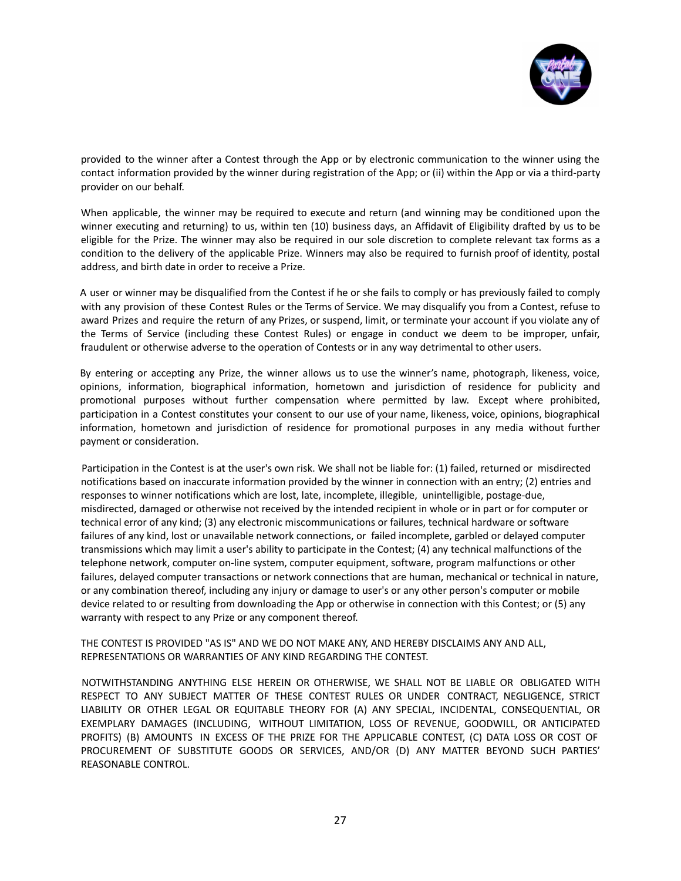

provided to the winner after a Contest through the App or by electronic communication to the winner using the contact information provided by the winner during registration of the App; or (ii) within the App or via a third-party provider on our behalf.

When applicable, the winner may be required to execute and return (and winning may be conditioned upon the winner executing and returning) to us, within ten (10) business days, an Affidavit of Eligibility drafted by us to be eligible for the Prize. The winner may also be required in our sole discretion to complete relevant tax forms as a condition to the delivery of the applicable Prize. Winners may also be required to furnish proof of identity, postal address, and birth date in order to receive a Prize.

A user or winner may be disqualified from the Contest if he or she fails to comply or has previously failed to comply with any provision of these Contest Rules or the Terms of Service. We may disqualify you from a Contest, refuse to award Prizes and require the return of any Prizes, or suspend, limit, or terminate your account if you violate any of the Terms of Service (including these Contest Rules) or engage in conduct we deem to be improper, unfair, fraudulent or otherwise adverse to the operation of Contests or in any way detrimental to other users.

By entering or accepting any Prize, the winner allows us to use the winner's name, photograph, likeness, voice, opinions, information, biographical information, hometown and jurisdiction of residence for publicity and promotional purposes without further compensation where permitted by law. Except where prohibited, participation in a Contest constitutes your consent to our use of your name, likeness, voice, opinions, biographical information, hometown and jurisdiction of residence for promotional purposes in any media without further payment or consideration.

Participation in the Contest is at the user's own risk. We shall not be liable for: (1) failed, returned or misdirected notifications based on inaccurate information provided by the winner in connection with an entry; (2) entries and responses to winner notifications which are lost, late, incomplete, illegible, unintelligible, postage-due, misdirected, damaged or otherwise not received by the intended recipient in whole or in part or for computer or technical error of any kind; (3) any electronic miscommunications or failures, technical hardware or software failures of any kind, lost or unavailable network connections, or failed incomplete, garbled or delayed computer transmissions which may limit a user's ability to participate in the Contest; (4) any technical malfunctions of the telephone network, computer on-line system, computer equipment, software, program malfunctions or other failures, delayed computer transactions or network connections that are human, mechanical or technical in nature, or any combination thereof, including any injury or damage to user's or any other person's computer or mobile device related to or resulting from downloading the App or otherwise in connection with this Contest; or (5) any warranty with respect to any Prize or any component thereof.

#### THE CONTEST IS PROVIDED "AS IS" AND WE DO NOT MAKE ANY, AND HEREBY DISCLAIMS ANY AND ALL, REPRESENTATIONS OR WARRANTIES OF ANY KIND REGARDING THE CONTEST.

NOTWITHSTANDING ANYTHING ELSE HEREIN OR OTHERWISE, WE SHALL NOT BE LIABLE OR OBLIGATED WITH RESPECT TO ANY SUBJECT MATTER OF THESE CONTEST RULES OR UNDER CONTRACT, NEGLIGENCE, STRICT LIABILITY OR OTHER LEGAL OR EQUITABLE THEORY FOR (A) ANY SPECIAL, INCIDENTAL, CONSEQUENTIAL, OR EXEMPLARY DAMAGES (INCLUDING, WITHOUT LIMITATION, LOSS OF REVENUE, GOODWILL, OR ANTICIPATED PROFITS) (B) AMOUNTS IN EXCESS OF THE PRIZE FOR THE APPLICABLE CONTEST, (C) DATA LOSS OR COST OF PROCUREMENT OF SUBSTITUTE GOODS OR SERVICES, AND/OR (D) ANY MATTER BEYOND SUCH PARTIES' REASONABLE CONTROL.